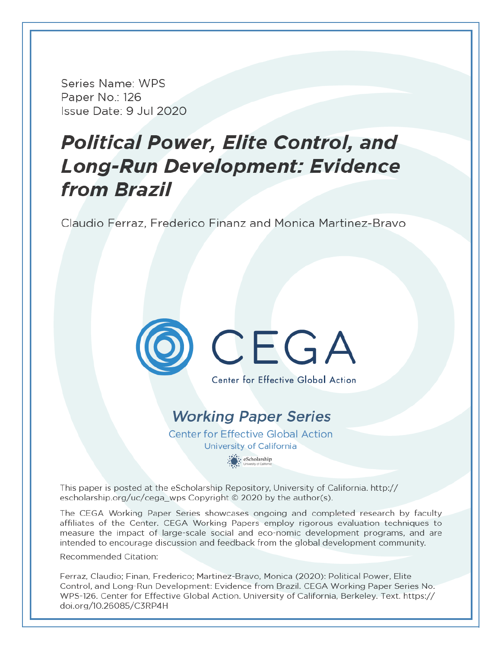Series Name: WPS Paper No.: 126 Issue Date: 9 Jul 2020

# **Political Power, Elite Control, and** Long-Run Development: Evidence from Brazil

Claudio Ferraz, Frederico Finanz and Monica Martinez-Bravo



# **Working Paper Series**

**Center for Effective Global Action** University of California · eScholarship

This paper is posted at the eScholarship Repository, University of California. http:// escholarship.org/uc/cega wps Copyright © 2020 by the author(s).

The CEGA Working Paper Series showcases ongoing and completed research by faculty affiliates of the Center. CEGA Working Papers employ rigorous evaluation techniques to measure the impact of large-scale social and eco-nomic development programs, and are intended to encourage discussion and feedback from the global development community.

Recommended Citation:

Ferraz, Claudio; Finan, Frederico; Martinez-Bravo, Monica (2020): Political Power, Elite Control, and Long-Run Development: Evidence from Brazil. CEGA Working Paper Series No. WPS-126. Center for Effective Global Action. University of California, Berkeley. Text. https:// doi.org/10.26085/C3RP4H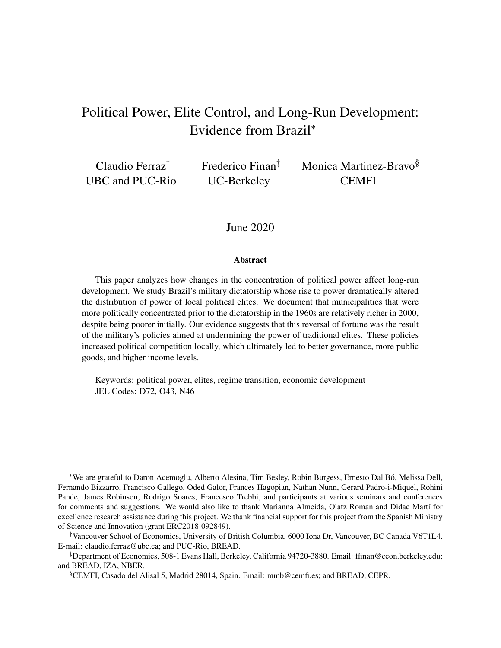# Political Power, Elite Control, and Long-Run Development: Evidence from Brazil<sup>∗</sup>

Claudio Ferraz† UBC and PUC-Rio Frederico Finan‡ UC-Berkeley

Monica Martinez-Bravo§ **CEMFI** 

June 2020

#### **Abstract**

This paper analyzes how changes in the concentration of political power affect long-run development. We study Brazil's military dictatorship whose rise to power dramatically altered the distribution of power of local political elites. We document that municipalities that were more politically concentrated prior to the dictatorship in the 1960s are relatively richer in 2000, despite being poorer initially. Our evidence suggests that this reversal of fortune was the result of the military's policies aimed at undermining the power of traditional elites. These policies increased political competition locally, which ultimately led to better governance, more public goods, and higher income levels.

Keywords: political power, elites, regime transition, economic development JEL Codes: D72, O43, N46

<sup>∗</sup>We are grateful to Daron Acemoglu, Alberto Alesina, Tim Besley, Robin Burgess, Ernesto Dal Bó, Melissa Dell, Fernando Bizzarro, Francisco Gallego, Oded Galor, Frances Hagopian, Nathan Nunn, Gerard Padro-i-Miquel, Rohini Pande, James Robinson, Rodrigo Soares, Francesco Trebbi, and participants at various seminars and conferences for comments and suggestions. We would also like to thank Marianna Almeida, Olatz Roman and Didac Martí for excellence research assistance during this project. We thank financial support for this project from the Spanish Ministry of Science and Innovation (grant ERC2018-092849).

<sup>†</sup>Vancouver School of Economics, University of British Columbia, 6000 Iona Dr, Vancouver, BC Canada V6T1L4. E-mail: claudio.ferraz@ubc.ca; and PUC-Rio, BREAD.

<sup>‡</sup>Department of Economics, 508-1 Evans Hall, Berkeley, California 94720-3880. Email: ffinan@econ.berkeley.edu; and BREAD, IZA, NBER.

<sup>§</sup>CEMFI, Casado del Alisal 5, Madrid 28014, Spain. Email: mmb@cemfi.es; and BREAD, CEPR.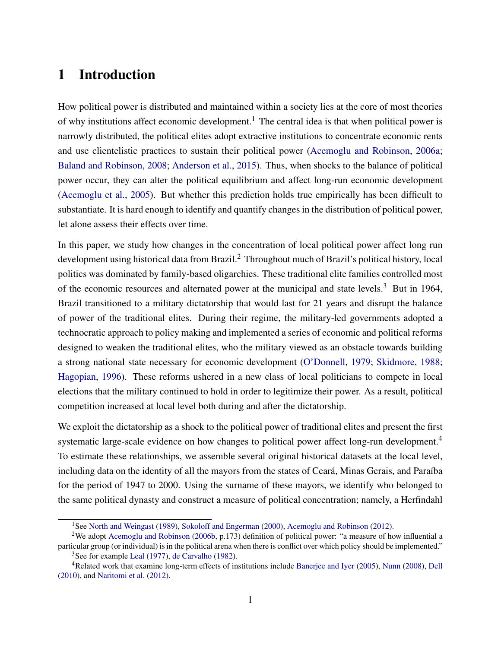# 1 Introduction

How political power is distributed and maintained within a society lies at the core of most theories of why institutions affect economic development.<sup>1</sup> The central idea is that when political power is narrowly distributed, the political elites adopt extractive institutions to concentrate economic rents and use clientelistic practices to sustain their political power (Acemoglu and Robinson, 2006a; Baland and Robinson, 2008; Anderson et al., 2015). Thus, when shocks to the balance of political power occur, they can alter the political equilibrium and affect long-run economic development (Acemoglu et al., 2005). But whether this prediction holds true empirically has been difficult to substantiate. It is hard enough to identify and quantify changes in the distribution of political power, let alone assess their effects over time.

In this paper, we study how changes in the concentration of local political power affect long run development using historical data from Brazil.<sup>2</sup> Throughout much of Brazil's political history, local politics was dominated by family-based oligarchies. These traditional elite families controlled most of the economic resources and alternated power at the municipal and state levels.<sup>3</sup> But in 1964, Brazil transitioned to a military dictatorship that would last for 21 years and disrupt the balance of power of the traditional elites. During their regime, the military-led governments adopted a technocratic approach to policy making and implemented a series of economic and political reforms designed to weaken the traditional elites, who the military viewed as an obstacle towards building a strong national state necessary for economic development (O'Donnell, 1979; Skidmore, 1988; Hagopian, 1996). These reforms ushered in a new class of local politicians to compete in local elections that the military continued to hold in order to legitimize their power. As a result, political competition increased at local level both during and after the dictatorship.

We exploit the dictatorship as a shock to the political power of traditional elites and present the first systematic large-scale evidence on how changes to political power affect long-run development.<sup>4</sup> To estimate these relationships, we assemble several original historical datasets at the local level, including data on the identity of all the mayors from the states of Ceará, Minas Gerais, and Paraíba for the period of 1947 to 2000. Using the surname of these mayors, we identify who belonged to the same political dynasty and construct a measure of political concentration; namely, a Herfindahl

<sup>&</sup>lt;sup>1</sup>See North and Weingast (1989), Sokoloff and Engerman (2000), Acemoglu and Robinson (2012).

<sup>2</sup>We adopt Acemoglu and Robinson (2006b, p.173) definition of political power: "a measure of how influential a particular group (or individual) is in the political arena when there is conflict over which policy should be implemented." <sup>3</sup>See for example Leal (1977), de Carvalho (1982).

<sup>4</sup>Related work that examine long-term effects of institutions include Banerjee and Iyer (2005), Nunn (2008), Dell (2010), and Naritomi et al. (2012).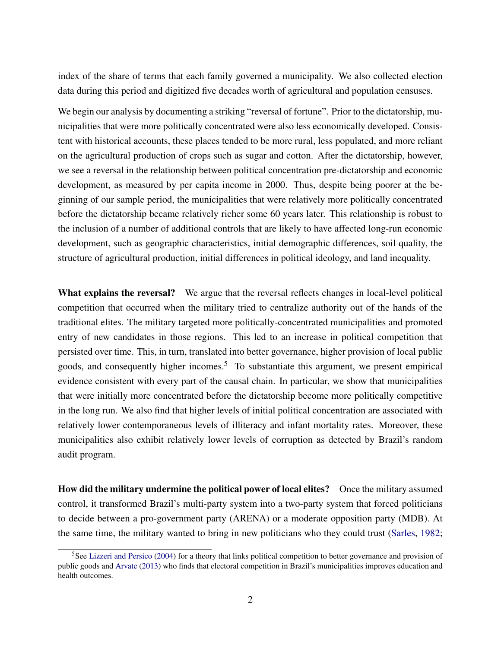index of the share of terms that each family governed a municipality. We also collected election data during this period and digitized five decades worth of agricultural and population censuses.

We begin our analysis by documenting a striking "reversal of fortune". Prior to the dictatorship, municipalities that were more politically concentrated were also less economically developed. Consistent with historical accounts, these places tended to be more rural, less populated, and more reliant on the agricultural production of crops such as sugar and cotton. After the dictatorship, however, we see a reversal in the relationship between political concentration pre-dictatorship and economic development, as measured by per capita income in 2000. Thus, despite being poorer at the beginning of our sample period, the municipalities that were relatively more politically concentrated before the dictatorship became relatively richer some 60 years later. This relationship is robust to the inclusion of a number of additional controls that are likely to have affected long-run economic development, such as geographic characteristics, initial demographic differences, soil quality, the structure of agricultural production, initial differences in political ideology, and land inequality.

What explains the reversal? We argue that the reversal reflects changes in local-level political competition that occurred when the military tried to centralize authority out of the hands of the traditional elites. The military targeted more politically-concentrated municipalities and promoted entry of new candidates in those regions. This led to an increase in political competition that persisted over time. This, in turn, translated into better governance, higher provision of local public goods, and consequently higher incomes.<sup>5</sup> To substantiate this argument, we present empirical evidence consistent with every part of the causal chain. In particular, we show that municipalities that were initially more concentrated before the dictatorship become more politically competitive in the long run. We also find that higher levels of initial political concentration are associated with relatively lower contemporaneous levels of illiteracy and infant mortality rates. Moreover, these municipalities also exhibit relatively lower levels of corruption as detected by Brazil's random audit program.

How did the military undermine the political power of local elites? Once the military assumed control, it transformed Brazil's multi-party system into a two-party system that forced politicians to decide between a pro-government party (ARENA) or a moderate opposition party (MDB). At the same time, the military wanted to bring in new politicians who they could trust (Sarles, 1982;

<sup>&</sup>lt;sup>5</sup>See Lizzeri and Persico (2004) for a theory that links political competition to better governance and provision of public goods and Arvate (2013) who finds that electoral competition in Brazil's municipalities improves education and health outcomes.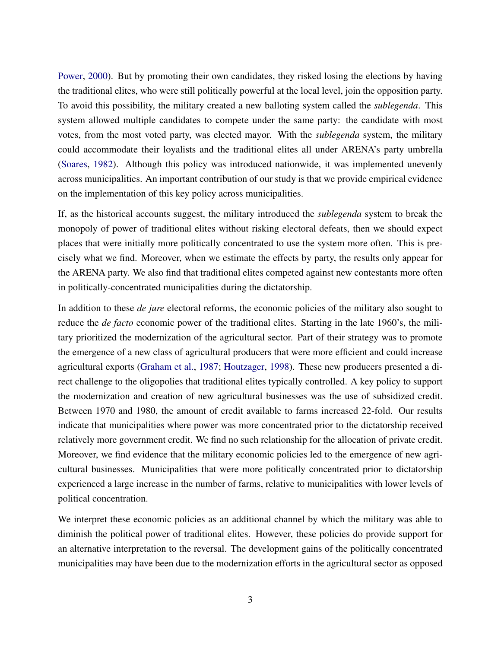Power, 2000). But by promoting their own candidates, they risked losing the elections by having the traditional elites, who were still politically powerful at the local level, join the opposition party. To avoid this possibility, the military created a new balloting system called the *sublegenda*. This system allowed multiple candidates to compete under the same party: the candidate with most votes, from the most voted party, was elected mayor. With the *sublegenda* system, the military could accommodate their loyalists and the traditional elites all under ARENA's party umbrella (Soares, 1982). Although this policy was introduced nationwide, it was implemented unevenly across municipalities. An important contribution of our study is that we provide empirical evidence on the implementation of this key policy across municipalities.

If, as the historical accounts suggest, the military introduced the *sublegenda* system to break the monopoly of power of traditional elites without risking electoral defeats, then we should expect places that were initially more politically concentrated to use the system more often. This is precisely what we find. Moreover, when we estimate the effects by party, the results only appear for the ARENA party. We also find that traditional elites competed against new contestants more often in politically-concentrated municipalities during the dictatorship.

In addition to these *de jure* electoral reforms, the economic policies of the military also sought to reduce the *de facto* economic power of the traditional elites. Starting in the late 1960's, the military prioritized the modernization of the agricultural sector. Part of their strategy was to promote the emergence of a new class of agricultural producers that were more efficient and could increase agricultural exports (Graham et al., 1987; Houtzager, 1998). These new producers presented a direct challenge to the oligopolies that traditional elites typically controlled. A key policy to support the modernization and creation of new agricultural businesses was the use of subsidized credit. Between 1970 and 1980, the amount of credit available to farms increased 22-fold. Our results indicate that municipalities where power was more concentrated prior to the dictatorship received relatively more government credit. We find no such relationship for the allocation of private credit. Moreover, we find evidence that the military economic policies led to the emergence of new agricultural businesses. Municipalities that were more politically concentrated prior to dictatorship experienced a large increase in the number of farms, relative to municipalities with lower levels of political concentration.

We interpret these economic policies as an additional channel by which the military was able to diminish the political power of traditional elites. However, these policies do provide support for an alternative interpretation to the reversal. The development gains of the politically concentrated municipalities may have been due to the modernization efforts in the agricultural sector as opposed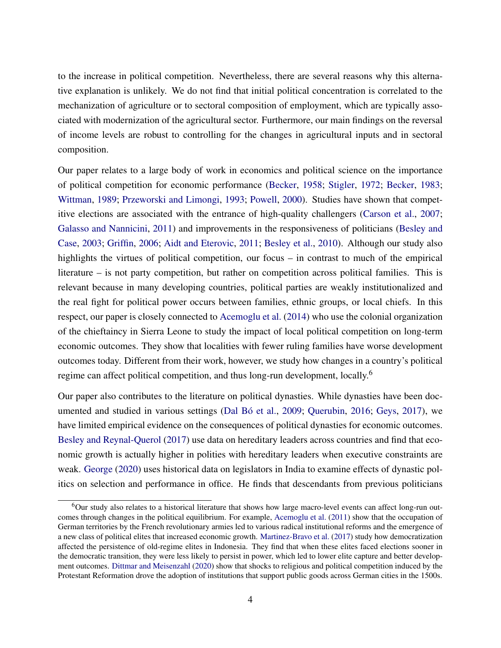to the increase in political competition. Nevertheless, there are several reasons why this alternative explanation is unlikely. We do not find that initial political concentration is correlated to the mechanization of agriculture or to sectoral composition of employment, which are typically associated with modernization of the agricultural sector. Furthermore, our main findings on the reversal of income levels are robust to controlling for the changes in agricultural inputs and in sectoral composition.

Our paper relates to a large body of work in economics and political science on the importance of political competition for economic performance (Becker, 1958; Stigler, 1972; Becker, 1983; Wittman, 1989; Przeworski and Limongi, 1993; Powell, 2000). Studies have shown that competitive elections are associated with the entrance of high-quality challengers (Carson et al., 2007; Galasso and Nannicini, 2011) and improvements in the responsiveness of politicians (Besley and Case, 2003; Griffin, 2006; Aidt and Eterovic, 2011; Besley et al., 2010). Although our study also highlights the virtues of political competition, our focus – in contrast to much of the empirical literature – is not party competition, but rather on competition across political families. This is relevant because in many developing countries, political parties are weakly institutionalized and the real fight for political power occurs between families, ethnic groups, or local chiefs. In this respect, our paper is closely connected to Acemoglu et al. (2014) who use the colonial organization of the chieftaincy in Sierra Leone to study the impact of local political competition on long-term economic outcomes. They show that localities with fewer ruling families have worse development outcomes today. Different from their work, however, we study how changes in a country's political regime can affect political competition, and thus long-run development, locally.<sup>6</sup>

Our paper also contributes to the literature on political dynasties. While dynasties have been documented and studied in various settings (Dal Bó et al., 2009; Querubin, 2016; Geys, 2017), we have limited empirical evidence on the consequences of political dynasties for economic outcomes. Besley and Reynal-Querol (2017) use data on hereditary leaders across countries and find that economic growth is actually higher in polities with hereditary leaders when executive constraints are weak. George (2020) uses historical data on legislators in India to examine effects of dynastic politics on selection and performance in office. He finds that descendants from previous politicians

<sup>6</sup>Our study also relates to a historical literature that shows how large macro-level events can affect long-run outcomes through changes in the political equilibrium. For example, Acemoglu et al. (2011) show that the occupation of German territories by the French revolutionary armies led to various radical institutional reforms and the emergence of a new class of political elites that increased economic growth. Martinez-Bravo et al. (2017) study how democratization affected the persistence of old-regime elites in Indonesia. They find that when these elites faced elections sooner in the democratic transition, they were less likely to persist in power, which led to lower elite capture and better development outcomes. Dittmar and Meisenzahl (2020) show that shocks to religious and political competition induced by the Protestant Reformation drove the adoption of institutions that support public goods across German cities in the 1500s.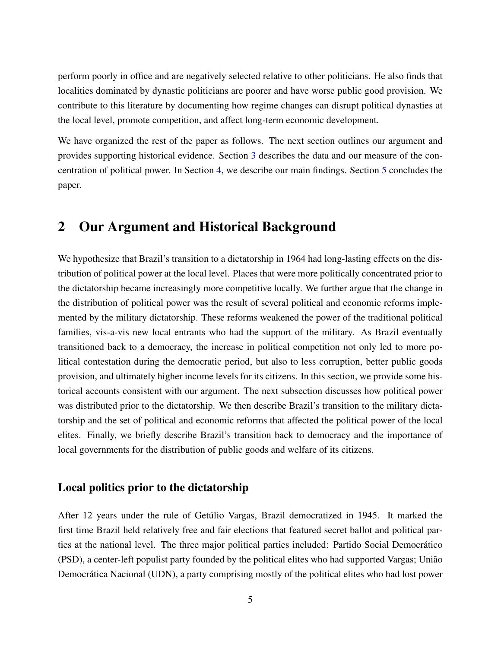perform poorly in office and are negatively selected relative to other politicians. He also finds that localities dominated by dynastic politicians are poorer and have worse public good provision. We contribute to this literature by documenting how regime changes can disrupt political dynasties at the local level, promote competition, and affect long-term economic development.

We have organized the rest of the paper as follows. The next section outlines our argument and provides supporting historical evidence. Section 3 describes the data and our measure of the concentration of political power. In Section 4, we describe our main findings. Section 5 concludes the paper.

# 2 Our Argument and Historical Background

We hypothesize that Brazil's transition to a dictatorship in 1964 had long-lasting effects on the distribution of political power at the local level. Places that were more politically concentrated prior to the dictatorship became increasingly more competitive locally. We further argue that the change in the distribution of political power was the result of several political and economic reforms implemented by the military dictatorship. These reforms weakened the power of the traditional political families, vis-a-vis new local entrants who had the support of the military. As Brazil eventually transitioned back to a democracy, the increase in political competition not only led to more political contestation during the democratic period, but also to less corruption, better public goods provision, and ultimately higher income levels for its citizens. In this section, we provide some historical accounts consistent with our argument. The next subsection discusses how political power was distributed prior to the dictatorship. We then describe Brazil's transition to the military dictatorship and the set of political and economic reforms that affected the political power of the local elites. Finally, we briefly describe Brazil's transition back to democracy and the importance of local governments for the distribution of public goods and welfare of its citizens.

### Local politics prior to the dictatorship

After 12 years under the rule of Getúlio Vargas, Brazil democratized in 1945. It marked the first time Brazil held relatively free and fair elections that featured secret ballot and political parties at the national level. The three major political parties included: Partido Social Democrático (PSD), a center-left populist party founded by the political elites who had supported Vargas; União Democrática Nacional (UDN), a party comprising mostly of the political elites who had lost power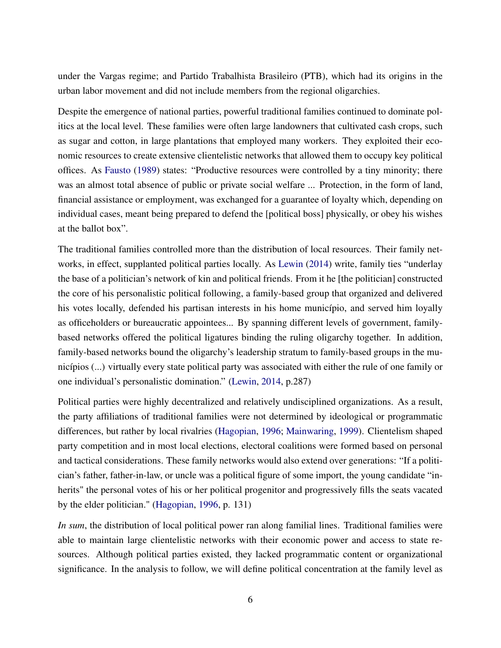under the Vargas regime; and Partido Trabalhista Brasileiro (PTB), which had its origins in the urban labor movement and did not include members from the regional oligarchies.

Despite the emergence of national parties, powerful traditional families continued to dominate politics at the local level. These families were often large landowners that cultivated cash crops, such as sugar and cotton, in large plantations that employed many workers. They exploited their economic resources to create extensive clientelistic networks that allowed them to occupy key political offices. As Fausto (1989) states: "Productive resources were controlled by a tiny minority; there was an almost total absence of public or private social welfare ... Protection, in the form of land, financial assistance or employment, was exchanged for a guarantee of loyalty which, depending on individual cases, meant being prepared to defend the [political boss] physically, or obey his wishes at the ballot box".

The traditional families controlled more than the distribution of local resources. Their family networks, in effect, supplanted political parties locally. As Lewin (2014) write, family ties "underlay the base of a politician's network of kin and political friends. From it he [the politician] constructed the core of his personalistic political following, a family-based group that organized and delivered his votes locally, defended his partisan interests in his home município, and served him loyally as officeholders or bureaucratic appointees... By spanning different levels of government, familybased networks offered the political ligatures binding the ruling oligarchy together. In addition, family-based networks bound the oligarchy's leadership stratum to family-based groups in the municípios (...) virtually every state political party was associated with either the rule of one family or one individual's personalistic domination." (Lewin, 2014, p.287)

Political parties were highly decentralized and relatively undisciplined organizations. As a result, the party affiliations of traditional families were not determined by ideological or programmatic differences, but rather by local rivalries (Hagopian, 1996; Mainwaring, 1999). Clientelism shaped party competition and in most local elections, electoral coalitions were formed based on personal and tactical considerations. These family networks would also extend over generations: "If a politician's father, father-in-law, or uncle was a political figure of some import, the young candidate "inherits" the personal votes of his or her political progenitor and progressively fills the seats vacated by the elder politician." (Hagopian, 1996, p. 131)

*In sum*, the distribution of local political power ran along familial lines. Traditional families were able to maintain large clientelistic networks with their economic power and access to state resources. Although political parties existed, they lacked programmatic content or organizational significance. In the analysis to follow, we will define political concentration at the family level as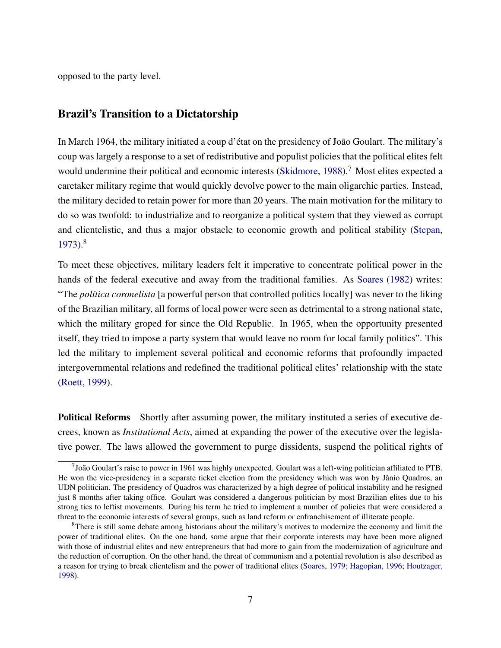opposed to the party level.

### Brazil's Transition to a Dictatorship

In March 1964, the military initiated a coup d'état on the presidency of João Goulart. The military's coup was largely a response to a set of redistributive and populist policies that the political elites felt would undermine their political and economic interests (Skidmore, 1988).<sup>7</sup> Most elites expected a caretaker military regime that would quickly devolve power to the main oligarchic parties. Instead, the military decided to retain power for more than 20 years. The main motivation for the military to do so was twofold: to industrialize and to reorganize a political system that they viewed as corrupt and clientelistic, and thus a major obstacle to economic growth and political stability (Stepan, 1973).<sup>8</sup>

To meet these objectives, military leaders felt it imperative to concentrate political power in the hands of the federal executive and away from the traditional families. As Soares (1982) writes: "The *política coronelista* [a powerful person that controlled politics locally] was never to the liking of the Brazilian military, all forms of local power were seen as detrimental to a strong national state, which the military groped for since the Old Republic. In 1965, when the opportunity presented itself, they tried to impose a party system that would leave no room for local family politics". This led the military to implement several political and economic reforms that profoundly impacted intergovernmental relations and redefined the traditional political elites' relationship with the state (Roett, 1999).

Political Reforms Shortly after assuming power, the military instituted a series of executive decrees, known as *Institutional Acts*, aimed at expanding the power of the executive over the legislative power. The laws allowed the government to purge dissidents, suspend the political rights of

 $7$ João Goulart's raise to power in 1961 was highly unexpected. Goulart was a left-wing politician affiliated to PTB. He won the vice-presidency in a separate ticket election from the presidency which was won by Jânio Quadros, an UDN politician. The presidency of Quadros was characterized by a high degree of political instability and he resigned just 8 months after taking office. Goulart was considered a dangerous politician by most Brazilian elites due to his strong ties to leftist movements. During his term he tried to implement a number of policies that were considered a threat to the economic interests of several groups, such as land reform or enfranchisement of illiterate people.

<sup>&</sup>lt;sup>8</sup>There is still some debate among historians about the military's motives to modernize the economy and limit the power of traditional elites. On the one hand, some argue that their corporate interests may have been more aligned with those of industrial elites and new entrepreneurs that had more to gain from the modernization of agriculture and the reduction of corruption. On the other hand, the threat of communism and a potential revolution is also described as a reason for trying to break clientelism and the power of traditional elites (Soares, 1979; Hagopian, 1996; Houtzager, 1998).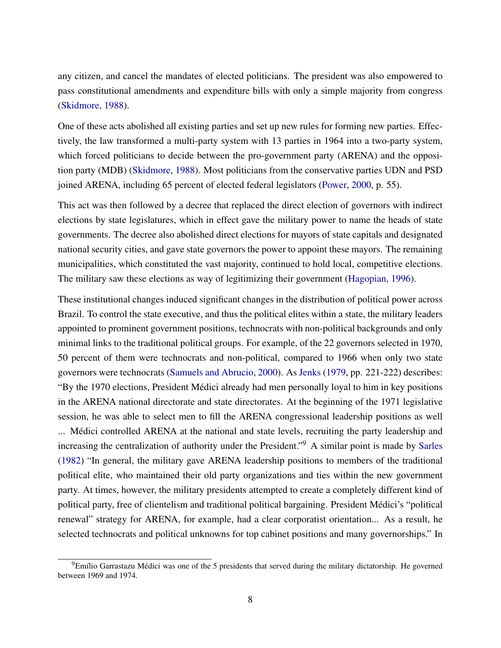any citizen, and cancel the mandates of elected politicians. The president was also empowered to pass constitutional amendments and expenditure bills with only a simple majority from congress (Skidmore, 1988).

One of these acts abolished all existing parties and set up new rules for forming new parties. Effectively, the law transformed a multi-party system with 13 parties in 1964 into a two-party system, which forced politicians to decide between the pro-government party (ARENA) and the opposition party (MDB) (Skidmore, 1988). Most politicians from the conservative parties UDN and PSD joined ARENA, including 65 percent of elected federal legislators (Power, 2000, p. 55).

This act was then followed by a decree that replaced the direct election of governors with indirect elections by state legislatures, which in effect gave the military power to name the heads of state governments. The decree also abolished direct elections for mayors of state capitals and designated national security cities, and gave state governors the power to appoint these mayors. The remaining municipalities, which constituted the vast majority, continued to hold local, competitive elections. The military saw these elections as way of legitimizing their government (Hagopian, 1996).

These institutional changes induced significant changes in the distribution of political power across Brazil. To control the state executive, and thus the political elites within a state, the military leaders appointed to prominent government positions, technocrats with non-political backgrounds and only minimal links to the traditional political groups. For example, of the 22 governors selected in 1970, 50 percent of them were technocrats and non-political, compared to 1966 when only two state governors were technocrats (Samuels and Abrucio, 2000). As Jenks (1979, pp. 221-222) describes: "By the 1970 elections, President Médici already had men personally loyal to him in key positions in the ARENA national directorate and state directorates. At the beginning of the 1971 legislative session, he was able to select men to fill the ARENA congressional leadership positions as well ... Médici controlled ARENA at the national and state levels, recruiting the party leadership and increasing the centralization of authority under the President."<sup>9</sup> A similar point is made by Sarles (1982) "In general, the military gave ARENA leadership positions to members of the traditional political elite, who maintained their old party organizations and ties within the new government party. At times, however, the military presidents attempted to create a completely different kind of political party, free of clientelism and traditional political bargaining. President Médici's "political renewal" strategy for ARENA, for example, had a clear corporatist orientation... As a result, he selected technocrats and political unknowns for top cabinet positions and many governorships." In

<sup>&</sup>lt;sup>9</sup>Emílio Garrastazu Médici was one of the 5 presidents that served during the military dictatorship. He governed between 1969 and 1974.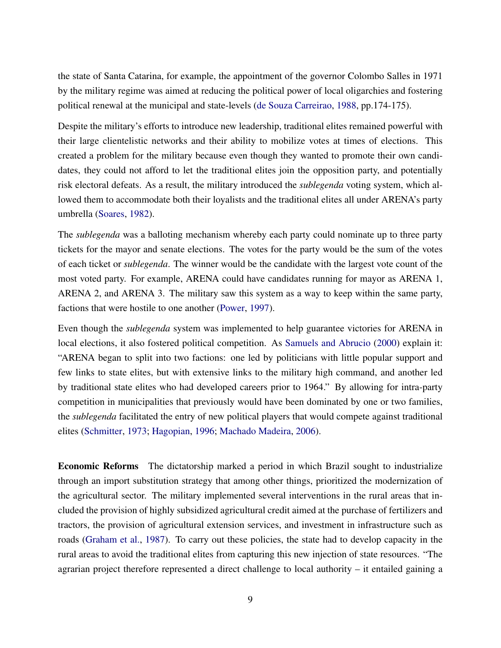the state of Santa Catarina, for example, the appointment of the governor Colombo Salles in 1971 by the military regime was aimed at reducing the political power of local oligarchies and fostering political renewal at the municipal and state-levels (de Souza Carreirao, 1988, pp.174-175).

Despite the military's efforts to introduce new leadership, traditional elites remained powerful with their large clientelistic networks and their ability to mobilize votes at times of elections. This created a problem for the military because even though they wanted to promote their own candidates, they could not afford to let the traditional elites join the opposition party, and potentially risk electoral defeats. As a result, the military introduced the *sublegenda* voting system, which allowed them to accommodate both their loyalists and the traditional elites all under ARENA's party umbrella (Soares, 1982).

The *sublegenda* was a balloting mechanism whereby each party could nominate up to three party tickets for the mayor and senate elections. The votes for the party would be the sum of the votes of each ticket or *sublegenda*. The winner would be the candidate with the largest vote count of the most voted party. For example, ARENA could have candidates running for mayor as ARENA 1, ARENA 2, and ARENA 3. The military saw this system as a way to keep within the same party, factions that were hostile to one another (Power, 1997).

Even though the *sublegenda* system was implemented to help guarantee victories for ARENA in local elections, it also fostered political competition. As Samuels and Abrucio (2000) explain it: "ARENA began to split into two factions: one led by politicians with little popular support and few links to state elites, but with extensive links to the military high command, and another led by traditional state elites who had developed careers prior to 1964." By allowing for intra-party competition in municipalities that previously would have been dominated by one or two families, the *sublegenda* facilitated the entry of new political players that would compete against traditional elites (Schmitter, 1973; Hagopian, 1996; Machado Madeira, 2006).

Economic Reforms The dictatorship marked a period in which Brazil sought to industrialize through an import substitution strategy that among other things, prioritized the modernization of the agricultural sector. The military implemented several interventions in the rural areas that included the provision of highly subsidized agricultural credit aimed at the purchase of fertilizers and tractors, the provision of agricultural extension services, and investment in infrastructure such as roads (Graham et al., 1987). To carry out these policies, the state had to develop capacity in the rural areas to avoid the traditional elites from capturing this new injection of state resources. "The agrarian project therefore represented a direct challenge to local authority – it entailed gaining a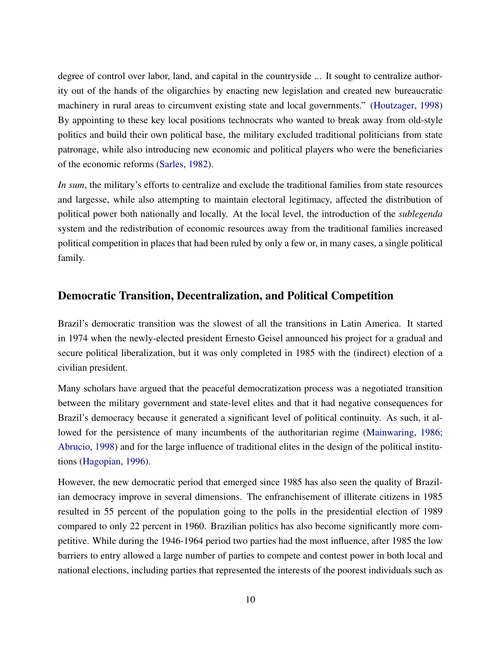degree of control over labor, land, and capital in the countryside ... It sought to centralize authority out of the hands of the oligarchies by enacting new legislation and created new bureaucratic machinery in rural areas to circumvent existing state and local governments." (Houtzager, 1998) By appointing to these key local positions technocrats who wanted to break away from old-style politics and build their own political base, the military excluded traditional politicians from state patronage, while also introducing new economic and political players who were the beneficiaries of the economic reforms (Sarles, 1982).

*In sum*, the military's efforts to centralize and exclude the traditional families from state resources and largesse, while also attempting to maintain electoral legitimacy, affected the distribution of political power both nationally and locally. At the local level, the introduction of the *sublegenda* system and the redistribution of economic resources away from the traditional families increased political competition in places that had been ruled by only a few or, in many cases, a single political family.

### Democratic Transition, Decentralization, and Political Competition

Brazil's democratic transition was the slowest of all the transitions in Latin America. It started in 1974 when the newly-elected president Ernesto Geisel announced his project for a gradual and secure political liberalization, but it was only completed in 1985 with the (indirect) election of a civilian president.

Many scholars have argued that the peaceful democratization process was a negotiated transition between the military government and state-level elites and that it had negative consequences for Brazil's democracy because it generated a significant level of political continuity. As such, it allowed for the persistence of many incumbents of the authoritarian regime (Mainwaring, 1986; Abrucio, 1998) and for the large influence of traditional elites in the design of the political institutions (Hagopian, 1996).

However, the new democratic period that emerged since 1985 has also seen the quality of Brazilian democracy improve in several dimensions. The enfranchisement of illiterate citizens in 1985 resulted in 55 percent of the population going to the polls in the presidential election of 1989 compared to only 22 percent in 1960. Brazilian politics has also become significantly more competitive. While during the 1946-1964 period two parties had the most influence, after 1985 the low barriers to entry allowed a large number of parties to compete and contest power in both local and national elections, including parties that represented the interests of the poorest individuals such as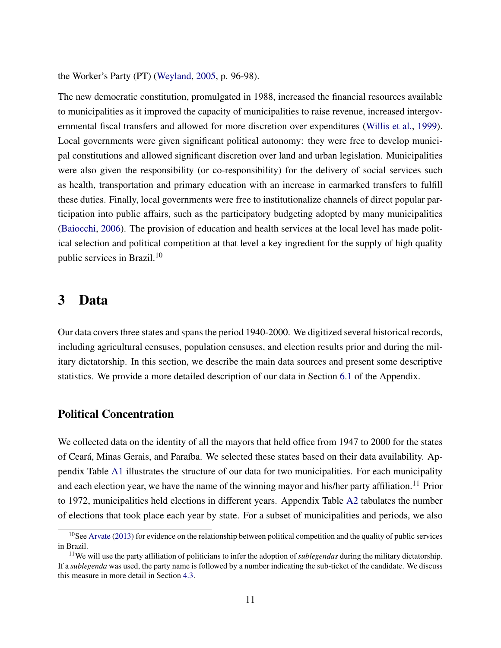the Worker's Party (PT) (Weyland, 2005, p. 96-98).

The new democratic constitution, promulgated in 1988, increased the financial resources available to municipalities as it improved the capacity of municipalities to raise revenue, increased intergovernmental fiscal transfers and allowed for more discretion over expenditures (Willis et al., 1999). Local governments were given significant political autonomy: they were free to develop municipal constitutions and allowed significant discretion over land and urban legislation. Municipalities were also given the responsibility (or co-responsibility) for the delivery of social services such as health, transportation and primary education with an increase in earmarked transfers to fulfill these duties. Finally, local governments were free to institutionalize channels of direct popular participation into public affairs, such as the participatory budgeting adopted by many municipalities (Baiocchi, 2006). The provision of education and health services at the local level has made political selection and political competition at that level a key ingredient for the supply of high quality public services in Brazil.<sup>10</sup>

## 3 Data

Our data covers three states and spans the period 1940-2000. We digitized several historical records, including agricultural censuses, population censuses, and election results prior and during the military dictatorship. In this section, we describe the main data sources and present some descriptive statistics. We provide a more detailed description of our data in Section 6.1 of the Appendix.

### Political Concentration

We collected data on the identity of all the mayors that held office from 1947 to 2000 for the states of Ceará, Minas Gerais, and Paraíba. We selected these states based on their data availability. Appendix Table A1 illustrates the structure of our data for two municipalities. For each municipality and each election year, we have the name of the winning mayor and his/her party affiliation.<sup>11</sup> Prior to 1972, municipalities held elections in different years. Appendix Table A2 tabulates the number of elections that took place each year by state. For a subset of municipalities and periods, we also

 $10$ See Arvate (2013) for evidence on the relationship between political competition and the quality of public services in Brazil.

<sup>11</sup>We will use the party affiliation of politicians to infer the adoption of *sublegendas* during the military dictatorship. If a *sublegenda* was used, the party name is followed by a number indicating the sub-ticket of the candidate. We discuss this measure in more detail in Section 4.3.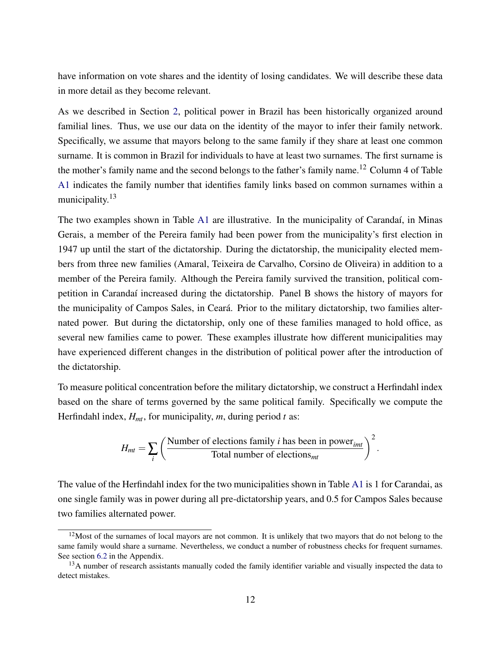have information on vote shares and the identity of losing candidates. We will describe these data in more detail as they become relevant.

As we described in Section 2, political power in Brazil has been historically organized around familial lines. Thus, we use our data on the identity of the mayor to infer their family network. Specifically, we assume that mayors belong to the same family if they share at least one common surname. It is common in Brazil for individuals to have at least two surnames. The first surname is the mother's family name and the second belongs to the father's family name.<sup>12</sup> Column 4 of Table A1 indicates the family number that identifies family links based on common surnames within a municipality.<sup>13</sup>

The two examples shown in Table A1 are illustrative. In the municipality of Carandaí, in Minas Gerais, a member of the Pereira family had been power from the municipality's first election in 1947 up until the start of the dictatorship. During the dictatorship, the municipality elected members from three new families (Amaral, Teixeira de Carvalho, Corsino de Oliveira) in addition to a member of the Pereira family. Although the Pereira family survived the transition, political competition in Carandaí increased during the dictatorship. Panel B shows the history of mayors for the municipality of Campos Sales, in Ceará. Prior to the military dictatorship, two families alternated power. But during the dictatorship, only one of these families managed to hold office, as several new families came to power. These examples illustrate how different municipalities may have experienced different changes in the distribution of political power after the introduction of the dictatorship.

To measure political concentration before the military dictatorship, we construct a Herfindahl index based on the share of terms governed by the same political family. Specifically we compute the Herfindahl index, *Hmt*, for municipality, *m*, during period *t* as:

$$
H_{mt} = \sum_{i} \left( \frac{\text{Number of elections family } i \text{ has been in power}_{imt}}{\text{Total number of elections}_{mt}} \right)^2
$$

.

The value of the Herfindahl index for the two municipalities shown in Table A1 is 1 for Carandai, as one single family was in power during all pre-dictatorship years, and 0.5 for Campos Sales because two families alternated power.

 $12$ Most of the surnames of local mayors are not common. It is unlikely that two mayors that do not belong to the same family would share a surname. Nevertheless, we conduct a number of robustness checks for frequent surnames. See section 6.2 in the Appendix.

<sup>&</sup>lt;sup>13</sup>A number of research assistants manually coded the family identifier variable and visually inspected the data to detect mistakes.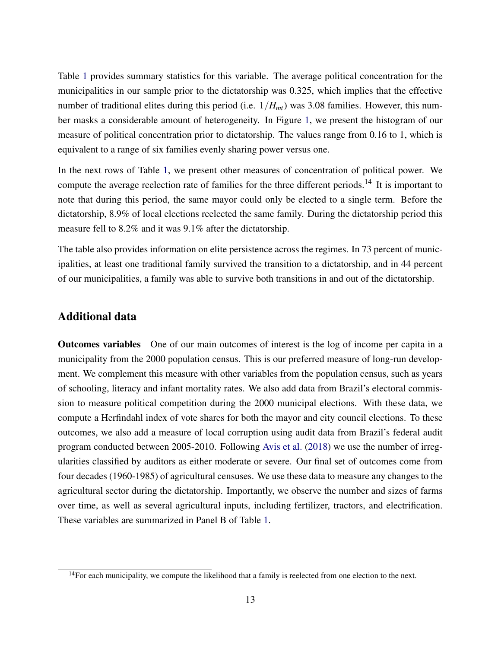Table 1 provides summary statistics for this variable. The average political concentration for the municipalities in our sample prior to the dictatorship was 0.325, which implies that the effective number of traditional elites during this period (i.e. 1/*Hmt*) was 3.08 families. However, this number masks a considerable amount of heterogeneity. In Figure 1, we present the histogram of our measure of political concentration prior to dictatorship. The values range from 0.16 to 1, which is equivalent to a range of six families evenly sharing power versus one.

In the next rows of Table 1, we present other measures of concentration of political power. We compute the average reelection rate of families for the three different periods.<sup>14</sup> It is important to note that during this period, the same mayor could only be elected to a single term. Before the dictatorship, 8.9% of local elections reelected the same family. During the dictatorship period this measure fell to 8.2% and it was 9.1% after the dictatorship.

The table also provides information on elite persistence across the regimes. In 73 percent of municipalities, at least one traditional family survived the transition to a dictatorship, and in 44 percent of our municipalities, a family was able to survive both transitions in and out of the dictatorship.

### Additional data

Outcomes variables One of our main outcomes of interest is the log of income per capita in a municipality from the 2000 population census. This is our preferred measure of long-run development. We complement this measure with other variables from the population census, such as years of schooling, literacy and infant mortality rates. We also add data from Brazil's electoral commission to measure political competition during the 2000 municipal elections. With these data, we compute a Herfindahl index of vote shares for both the mayor and city council elections. To these outcomes, we also add a measure of local corruption using audit data from Brazil's federal audit program conducted between 2005-2010. Following Avis et al. (2018) we use the number of irregularities classified by auditors as either moderate or severe. Our final set of outcomes come from four decades (1960-1985) of agricultural censuses. We use these data to measure any changes to the agricultural sector during the dictatorship. Importantly, we observe the number and sizes of farms over time, as well as several agricultural inputs, including fertilizer, tractors, and electrification. These variables are summarized in Panel B of Table 1.

<sup>&</sup>lt;sup>14</sup>For each municipality, we compute the likelihood that a family is reelected from one election to the next.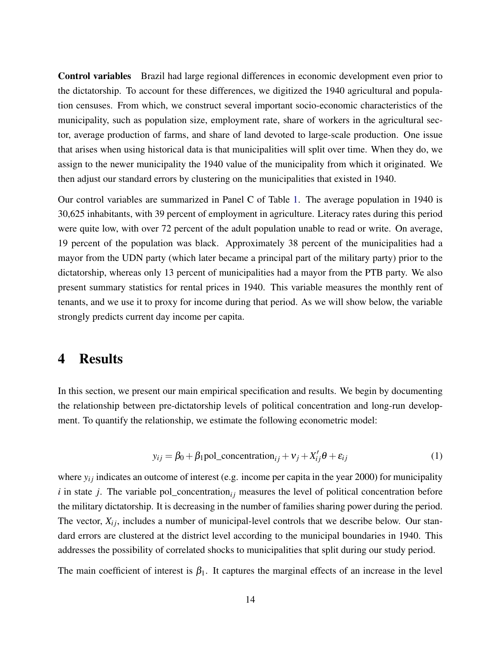Control variables Brazil had large regional differences in economic development even prior to the dictatorship. To account for these differences, we digitized the 1940 agricultural and population censuses. From which, we construct several important socio-economic characteristics of the municipality, such as population size, employment rate, share of workers in the agricultural sector, average production of farms, and share of land devoted to large-scale production. One issue that arises when using historical data is that municipalities will split over time. When they do, we assign to the newer municipality the 1940 value of the municipality from which it originated. We then adjust our standard errors by clustering on the municipalities that existed in 1940.

Our control variables are summarized in Panel C of Table 1. The average population in 1940 is 30,625 inhabitants, with 39 percent of employment in agriculture. Literacy rates during this period were quite low, with over 72 percent of the adult population unable to read or write. On average, 19 percent of the population was black. Approximately 38 percent of the municipalities had a mayor from the UDN party (which later became a principal part of the military party) prior to the dictatorship, whereas only 13 percent of municipalities had a mayor from the PTB party. We also present summary statistics for rental prices in 1940. This variable measures the monthly rent of tenants, and we use it to proxy for income during that period. As we will show below, the variable strongly predicts current day income per capita.

# 4 Results

In this section, we present our main empirical specification and results. We begin by documenting the relationship between pre-dictatorship levels of political concentration and long-run development. To quantify the relationship, we estimate the following econometric model:

$$
y_{ij} = \beta_0 + \beta_1 \text{pol\_concentration}_{ij} + v_j + X'_{ij}\theta + \varepsilon_{ij}
$$
 (1)

where  $y_{ij}$  indicates an outcome of interest (e.g. income per capita in the year 2000) for municipality  $i$  in state  $j$ . The variable pol\_concentration<sub>i</sub> measures the level of political concentration before the military dictatorship. It is decreasing in the number of families sharing power during the period. The vector,  $X_{ij}$ , includes a number of municipal-level controls that we describe below. Our standard errors are clustered at the district level according to the municipal boundaries in 1940. This addresses the possibility of correlated shocks to municipalities that split during our study period.

The main coefficient of interest is  $\beta_1$ . It captures the marginal effects of an increase in the level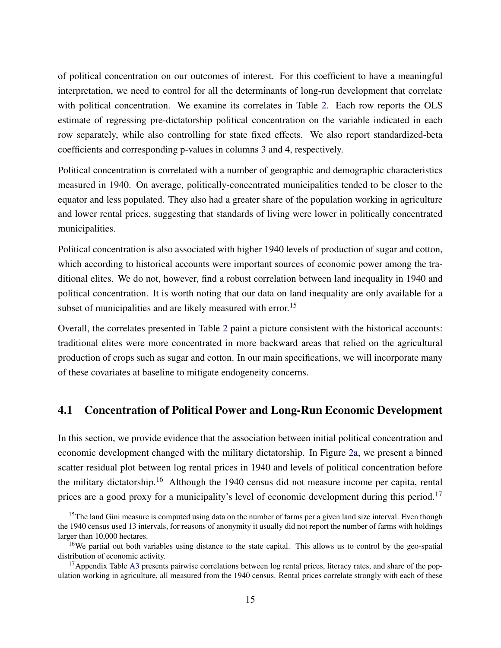of political concentration on our outcomes of interest. For this coefficient to have a meaningful interpretation, we need to control for all the determinants of long-run development that correlate with political concentration. We examine its correlates in Table 2. Each row reports the OLS estimate of regressing pre-dictatorship political concentration on the variable indicated in each row separately, while also controlling for state fixed effects. We also report standardized-beta coefficients and corresponding p-values in columns 3 and 4, respectively.

Political concentration is correlated with a number of geographic and demographic characteristics measured in 1940. On average, politically-concentrated municipalities tended to be closer to the equator and less populated. They also had a greater share of the population working in agriculture and lower rental prices, suggesting that standards of living were lower in politically concentrated municipalities.

Political concentration is also associated with higher 1940 levels of production of sugar and cotton, which according to historical accounts were important sources of economic power among the traditional elites. We do not, however, find a robust correlation between land inequality in 1940 and political concentration. It is worth noting that our data on land inequality are only available for a subset of municipalities and are likely measured with error.<sup>15</sup>

Overall, the correlates presented in Table 2 paint a picture consistent with the historical accounts: traditional elites were more concentrated in more backward areas that relied on the agricultural production of crops such as sugar and cotton. In our main specifications, we will incorporate many of these covariates at baseline to mitigate endogeneity concerns.

### 4.1 Concentration of Political Power and Long-Run Economic Development

In this section, we provide evidence that the association between initial political concentration and economic development changed with the military dictatorship. In Figure 2a, we present a binned scatter residual plot between log rental prices in 1940 and levels of political concentration before the military dictatorship.<sup>16</sup> Although the 1940 census did not measure income per capita, rental prices are a good proxy for a municipality's level of economic development during this period.<sup>17</sup>

 $15$ The land Gini measure is computed using data on the number of farms per a given land size interval. Even though the 1940 census used 13 intervals, for reasons of anonymity it usually did not report the number of farms with holdings larger than 10,000 hectares.

<sup>&</sup>lt;sup>16</sup>We partial out both variables using distance to the state capital. This allows us to control by the geo-spatial distribution of economic activity.

<sup>&</sup>lt;sup>17</sup> Appendix Table A3 presents pairwise correlations between log rental prices, literacy rates, and share of the population working in agriculture, all measured from the 1940 census. Rental prices correlate strongly with each of these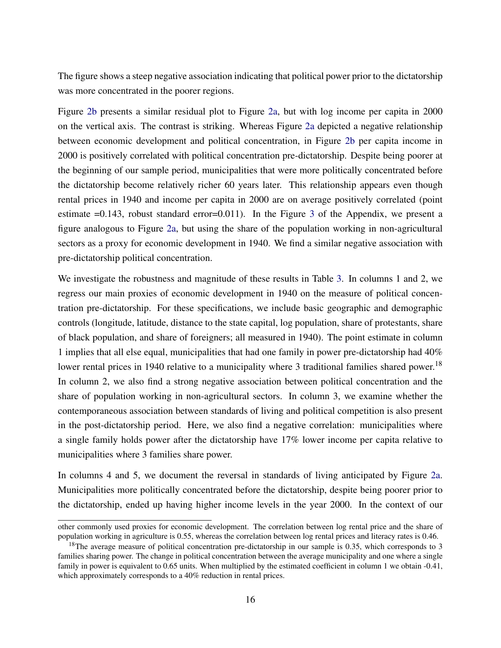The figure shows a steep negative association indicating that political power prior to the dictatorship was more concentrated in the poorer regions.

Figure 2b presents a similar residual plot to Figure 2a, but with log income per capita in 2000 on the vertical axis. The contrast is striking. Whereas Figure 2a depicted a negative relationship between economic development and political concentration, in Figure 2b per capita income in 2000 is positively correlated with political concentration pre-dictatorship. Despite being poorer at the beginning of our sample period, municipalities that were more politically concentrated before the dictatorship become relatively richer 60 years later. This relationship appears even though rental prices in 1940 and income per capita in 2000 are on average positively correlated (point estimate =0.143, robust standard error=0.011). In the Figure 3 of the Appendix, we present a figure analogous to Figure 2a, but using the share of the population working in non-agricultural sectors as a proxy for economic development in 1940. We find a similar negative association with pre-dictatorship political concentration.

We investigate the robustness and magnitude of these results in Table 3. In columns 1 and 2, we regress our main proxies of economic development in 1940 on the measure of political concentration pre-dictatorship. For these specifications, we include basic geographic and demographic controls (longitude, latitude, distance to the state capital, log population, share of protestants, share of black population, and share of foreigners; all measured in 1940). The point estimate in column 1 implies that all else equal, municipalities that had one family in power pre-dictatorship had 40% lower rental prices in 1940 relative to a municipality where 3 traditional families shared power.<sup>18</sup> In column 2, we also find a strong negative association between political concentration and the share of population working in non-agricultural sectors. In column 3, we examine whether the contemporaneous association between standards of living and political competition is also present in the post-dictatorship period. Here, we also find a negative correlation: municipalities where a single family holds power after the dictatorship have 17% lower income per capita relative to municipalities where 3 families share power.

In columns 4 and 5, we document the reversal in standards of living anticipated by Figure 2a. Municipalities more politically concentrated before the dictatorship, despite being poorer prior to the dictatorship, ended up having higher income levels in the year 2000. In the context of our

other commonly used proxies for economic development. The correlation between log rental price and the share of population working in agriculture is 0.55, whereas the correlation between log rental prices and literacy rates is 0.46.

<sup>&</sup>lt;sup>18</sup>The average measure of political concentration pre-dictatorship in our sample is 0.35, which corresponds to 3 families sharing power. The change in political concentration between the average municipality and one where a single family in power is equivalent to 0.65 units. When multiplied by the estimated coefficient in column 1 we obtain -0.41, which approximately corresponds to a 40% reduction in rental prices.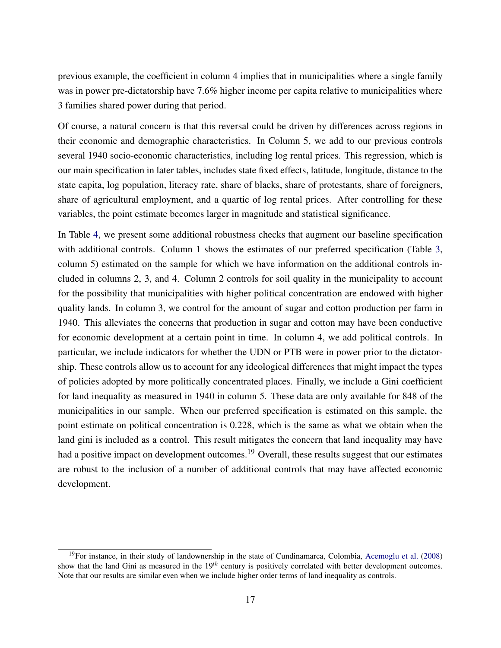previous example, the coefficient in column 4 implies that in municipalities where a single family was in power pre-dictatorship have 7.6% higher income per capita relative to municipalities where 3 families shared power during that period.

Of course, a natural concern is that this reversal could be driven by differences across regions in their economic and demographic characteristics. In Column 5, we add to our previous controls several 1940 socio-economic characteristics, including log rental prices. This regression, which is our main specification in later tables, includes state fixed effects, latitude, longitude, distance to the state capita, log population, literacy rate, share of blacks, share of protestants, share of foreigners, share of agricultural employment, and a quartic of log rental prices. After controlling for these variables, the point estimate becomes larger in magnitude and statistical significance.

In Table 4, we present some additional robustness checks that augment our baseline specification with additional controls. Column 1 shows the estimates of our preferred specification (Table 3, column 5) estimated on the sample for which we have information on the additional controls included in columns 2, 3, and 4. Column 2 controls for soil quality in the municipality to account for the possibility that municipalities with higher political concentration are endowed with higher quality lands. In column 3, we control for the amount of sugar and cotton production per farm in 1940. This alleviates the concerns that production in sugar and cotton may have been conductive for economic development at a certain point in time. In column 4, we add political controls. In particular, we include indicators for whether the UDN or PTB were in power prior to the dictatorship. These controls allow us to account for any ideological differences that might impact the types of policies adopted by more politically concentrated places. Finally, we include a Gini coefficient for land inequality as measured in 1940 in column 5. These data are only available for 848 of the municipalities in our sample. When our preferred specification is estimated on this sample, the point estimate on political concentration is 0.228, which is the same as what we obtain when the land gini is included as a control. This result mitigates the concern that land inequality may have had a positive impact on development outcomes.<sup>19</sup> Overall, these results suggest that our estimates are robust to the inclusion of a number of additional controls that may have affected economic development.

<sup>&</sup>lt;sup>19</sup>For instance, in their study of landownership in the state of Cundinamarca, Colombia, Acemoglu et al. (2008) show that the land Gini as measured in the 19*th* century is positively correlated with better development outcomes. Note that our results are similar even when we include higher order terms of land inequality as controls.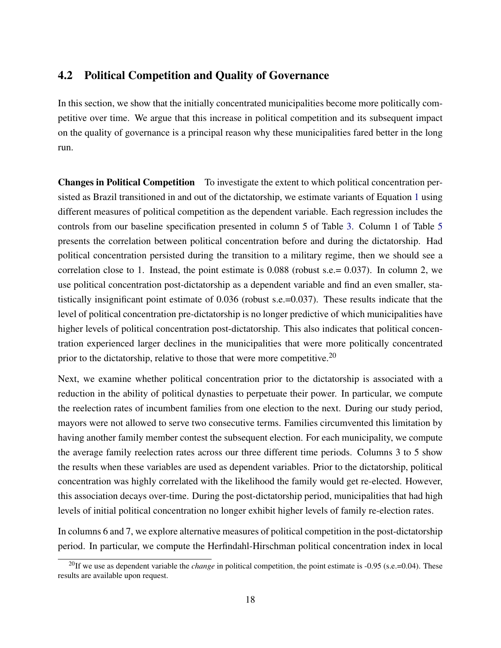### 4.2 Political Competition and Quality of Governance

In this section, we show that the initially concentrated municipalities become more politically competitive over time. We argue that this increase in political competition and its subsequent impact on the quality of governance is a principal reason why these municipalities fared better in the long run.

Changes in Political Competition To investigate the extent to which political concentration persisted as Brazil transitioned in and out of the dictatorship, we estimate variants of Equation 1 using different measures of political competition as the dependent variable. Each regression includes the controls from our baseline specification presented in column 5 of Table 3. Column 1 of Table 5 presents the correlation between political concentration before and during the dictatorship. Had political concentration persisted during the transition to a military regime, then we should see a correlation close to 1. Instead, the point estimate is 0.088 (robust s.e.= 0.037). In column 2, we use political concentration post-dictatorship as a dependent variable and find an even smaller, statistically insignificant point estimate of 0.036 (robust s.e.=0.037). These results indicate that the level of political concentration pre-dictatorship is no longer predictive of which municipalities have higher levels of political concentration post-dictatorship. This also indicates that political concentration experienced larger declines in the municipalities that were more politically concentrated prior to the dictatorship, relative to those that were more competitive.<sup>20</sup>

Next, we examine whether political concentration prior to the dictatorship is associated with a reduction in the ability of political dynasties to perpetuate their power. In particular, we compute the reelection rates of incumbent families from one election to the next. During our study period, mayors were not allowed to serve two consecutive terms. Families circumvented this limitation by having another family member contest the subsequent election. For each municipality, we compute the average family reelection rates across our three different time periods. Columns 3 to 5 show the results when these variables are used as dependent variables. Prior to the dictatorship, political concentration was highly correlated with the likelihood the family would get re-elected. However, this association decays over-time. During the post-dictatorship period, municipalities that had high levels of initial political concentration no longer exhibit higher levels of family re-election rates.

In columns 6 and 7, we explore alternative measures of political competition in the post-dictatorship period. In particular, we compute the Herfindahl-Hirschman political concentration index in local

<sup>&</sup>lt;sup>20</sup>If we use as dependent variable the *change* in political competition, the point estimate is -0.95 (s.e.=0.04). These results are available upon request.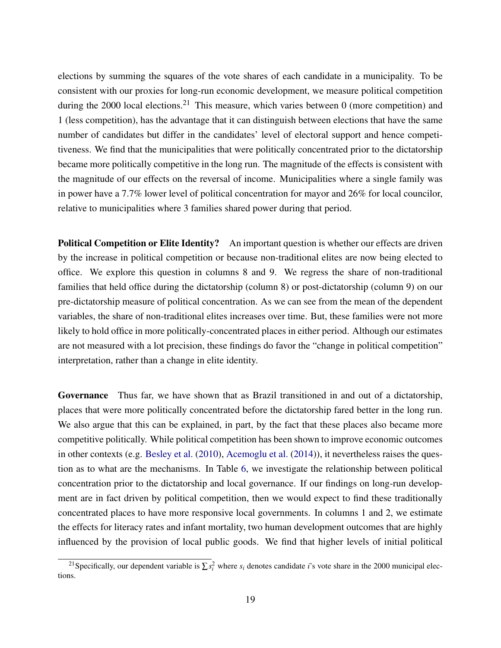elections by summing the squares of the vote shares of each candidate in a municipality. To be consistent with our proxies for long-run economic development, we measure political competition during the 2000 local elections.<sup>21</sup> This measure, which varies between 0 (more competition) and 1 (less competition), has the advantage that it can distinguish between elections that have the same number of candidates but differ in the candidates' level of electoral support and hence competitiveness. We find that the municipalities that were politically concentrated prior to the dictatorship became more politically competitive in the long run. The magnitude of the effects is consistent with the magnitude of our effects on the reversal of income. Municipalities where a single family was in power have a 7.7% lower level of political concentration for mayor and 26% for local councilor, relative to municipalities where 3 families shared power during that period.

Political Competition or Elite Identity? An important question is whether our effects are driven by the increase in political competition or because non-traditional elites are now being elected to office. We explore this question in columns 8 and 9. We regress the share of non-traditional families that held office during the dictatorship (column 8) or post-dictatorship (column 9) on our pre-dictatorship measure of political concentration. As we can see from the mean of the dependent variables, the share of non-traditional elites increases over time. But, these families were not more likely to hold office in more politically-concentrated places in either period. Although our estimates are not measured with a lot precision, these findings do favor the "change in political competition" interpretation, rather than a change in elite identity.

Governance Thus far, we have shown that as Brazil transitioned in and out of a dictatorship, places that were more politically concentrated before the dictatorship fared better in the long run. We also argue that this can be explained, in part, by the fact that these places also became more competitive politically. While political competition has been shown to improve economic outcomes in other contexts (e.g. Besley et al. (2010), Acemoglu et al. (2014)), it nevertheless raises the question as to what are the mechanisms. In Table 6, we investigate the relationship between political concentration prior to the dictatorship and local governance. If our findings on long-run development are in fact driven by political competition, then we would expect to find these traditionally concentrated places to have more responsive local governments. In columns 1 and 2, we estimate the effects for literacy rates and infant mortality, two human development outcomes that are highly influenced by the provision of local public goods. We find that higher levels of initial political

<sup>&</sup>lt;sup>21</sup> Specifically, our dependent variable is  $\sum s_i^2$  where  $s_i$  denotes candidate *i*'s vote share in the 2000 municipal elections.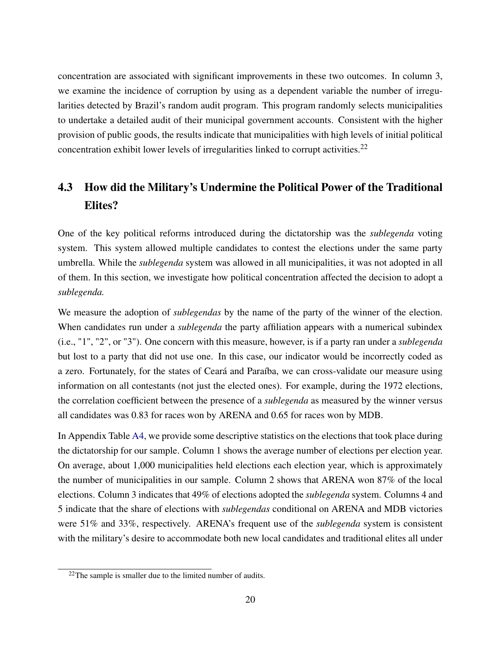concentration are associated with significant improvements in these two outcomes. In column 3, we examine the incidence of corruption by using as a dependent variable the number of irregularities detected by Brazil's random audit program. This program randomly selects municipalities to undertake a detailed audit of their municipal government accounts. Consistent with the higher provision of public goods, the results indicate that municipalities with high levels of initial political concentration exhibit lower levels of irregularities linked to corrupt activities.<sup>22</sup>

# 4.3 How did the Military's Undermine the Political Power of the Traditional Elites?

One of the key political reforms introduced during the dictatorship was the *sublegenda* voting system. This system allowed multiple candidates to contest the elections under the same party umbrella. While the *sublegenda* system was allowed in all municipalities, it was not adopted in all of them. In this section, we investigate how political concentration affected the decision to adopt a *sublegenda.*

We measure the adoption of *sublegendas* by the name of the party of the winner of the election. When candidates run under a *sublegenda* the party affiliation appears with a numerical subindex (i.e., "1", "2", or "3"). One concern with this measure, however, is if a party ran under a *sublegenda* but lost to a party that did not use one. In this case, our indicator would be incorrectly coded as a zero. Fortunately, for the states of Ceará and Paraíba, we can cross-validate our measure using information on all contestants (not just the elected ones). For example, during the 1972 elections, the correlation coefficient between the presence of a *sublegenda* as measured by the winner versus all candidates was 0.83 for races won by ARENA and 0.65 for races won by MDB.

In Appendix Table A4, we provide some descriptive statistics on the elections that took place during the dictatorship for our sample. Column 1 shows the average number of elections per election year. On average, about 1,000 municipalities held elections each election year, which is approximately the number of municipalities in our sample. Column 2 shows that ARENA won 87% of the local elections. Column 3 indicates that 49% of elections adopted the *sublegenda* system. Columns 4 and 5 indicate that the share of elections with *sublegendas* conditional on ARENA and MDB victories were 51% and 33%, respectively. ARENA's frequent use of the *sublegenda* system is consistent with the military's desire to accommodate both new local candidates and traditional elites all under

 $22$ The sample is smaller due to the limited number of audits.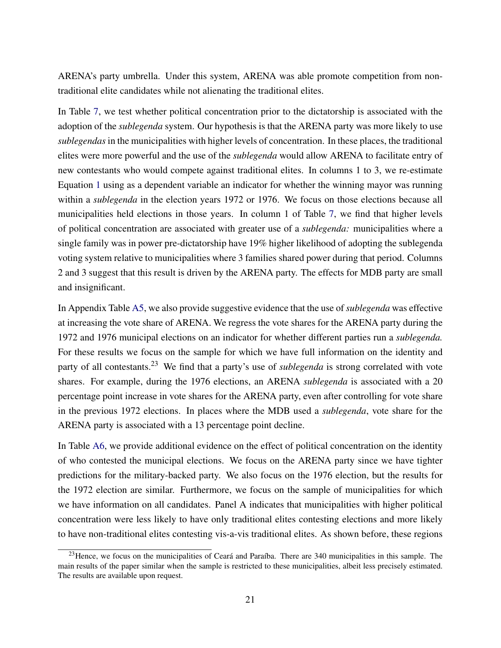ARENA's party umbrella. Under this system, ARENA was able promote competition from nontraditional elite candidates while not alienating the traditional elites.

In Table 7, we test whether political concentration prior to the dictatorship is associated with the adoption of the *sublegenda* system. Our hypothesis is that the ARENA party was more likely to use *sublegendas* in the municipalities with higher levels of concentration. In these places, the traditional elites were more powerful and the use of the *sublegenda* would allow ARENA to facilitate entry of new contestants who would compete against traditional elites. In columns 1 to 3, we re-estimate Equation 1 using as a dependent variable an indicator for whether the winning mayor was running within a *sublegenda* in the election years 1972 or 1976. We focus on those elections because all municipalities held elections in those years. In column 1 of Table 7, we find that higher levels of political concentration are associated with greater use of a *sublegenda:* municipalities where a single family was in power pre-dictatorship have 19% higher likelihood of adopting the sublegenda voting system relative to municipalities where 3 families shared power during that period. Columns 2 and 3 suggest that this result is driven by the ARENA party. The effects for MDB party are small and insignificant.

In Appendix Table A5, we also provide suggestive evidence that the use of *sublegenda* was effective at increasing the vote share of ARENA. We regress the vote shares for the ARENA party during the 1972 and 1976 municipal elections on an indicator for whether different parties run a *sublegenda.* For these results we focus on the sample for which we have full information on the identity and party of all contestants.<sup>23</sup> We find that a party's use of *sublegenda* is strong correlated with vote shares. For example, during the 1976 elections, an ARENA *sublegenda* is associated with a 20 percentage point increase in vote shares for the ARENA party, even after controlling for vote share in the previous 1972 elections. In places where the MDB used a *sublegenda*, vote share for the ARENA party is associated with a 13 percentage point decline.

In Table A6, we provide additional evidence on the effect of political concentration on the identity of who contested the municipal elections. We focus on the ARENA party since we have tighter predictions for the military-backed party. We also focus on the 1976 election, but the results for the 1972 election are similar. Furthermore, we focus on the sample of municipalities for which we have information on all candidates. Panel A indicates that municipalities with higher political concentration were less likely to have only traditional elites contesting elections and more likely to have non-traditional elites contesting vis-a-vis traditional elites. As shown before, these regions

<sup>&</sup>lt;sup>23</sup>Hence, we focus on the municipalities of Ceará and Paraíba. There are 340 municipalities in this sample. The main results of the paper similar when the sample is restricted to these municipalities, albeit less precisely estimated. The results are available upon request.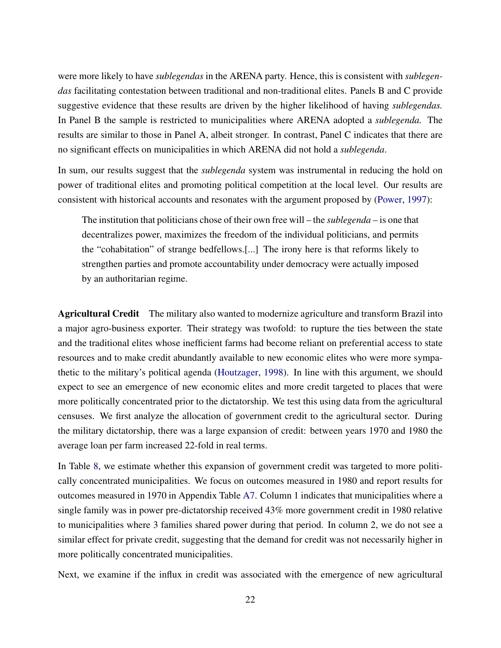were more likely to have *sublegendas* in the ARENA party. Hence, this is consistent with *sublegendas* facilitating contestation between traditional and non-traditional elites. Panels B and C provide suggestive evidence that these results are driven by the higher likelihood of having *sublegendas.* In Panel B the sample is restricted to municipalities where ARENA adopted a *sublegenda.* The results are similar to those in Panel A, albeit stronger. In contrast, Panel C indicates that there are no significant effects on municipalities in which ARENA did not hold a *sublegenda*.

In sum, our results suggest that the *sublegenda* system was instrumental in reducing the hold on power of traditional elites and promoting political competition at the local level. Our results are consistent with historical accounts and resonates with the argument proposed by (Power, 1997):

The institution that politicians chose of their own free will – the *sublegenda* – is one that decentralizes power, maximizes the freedom of the individual politicians, and permits the "cohabitation" of strange bedfellows.[...] The irony here is that reforms likely to strengthen parties and promote accountability under democracy were actually imposed by an authoritarian regime.

Agricultural Credit The military also wanted to modernize agriculture and transform Brazil into a major agro-business exporter. Their strategy was twofold: to rupture the ties between the state and the traditional elites whose inefficient farms had become reliant on preferential access to state resources and to make credit abundantly available to new economic elites who were more sympathetic to the military's political agenda (Houtzager, 1998). In line with this argument, we should expect to see an emergence of new economic elites and more credit targeted to places that were more politically concentrated prior to the dictatorship. We test this using data from the agricultural censuses. We first analyze the allocation of government credit to the agricultural sector. During the military dictatorship, there was a large expansion of credit: between years 1970 and 1980 the average loan per farm increased 22-fold in real terms.

In Table 8, we estimate whether this expansion of government credit was targeted to more politically concentrated municipalities. We focus on outcomes measured in 1980 and report results for outcomes measured in 1970 in Appendix Table A7. Column 1 indicates that municipalities where a single family was in power pre-dictatorship received 43% more government credit in 1980 relative to municipalities where 3 families shared power during that period. In column 2, we do not see a similar effect for private credit, suggesting that the demand for credit was not necessarily higher in more politically concentrated municipalities.

Next, we examine if the influx in credit was associated with the emergence of new agricultural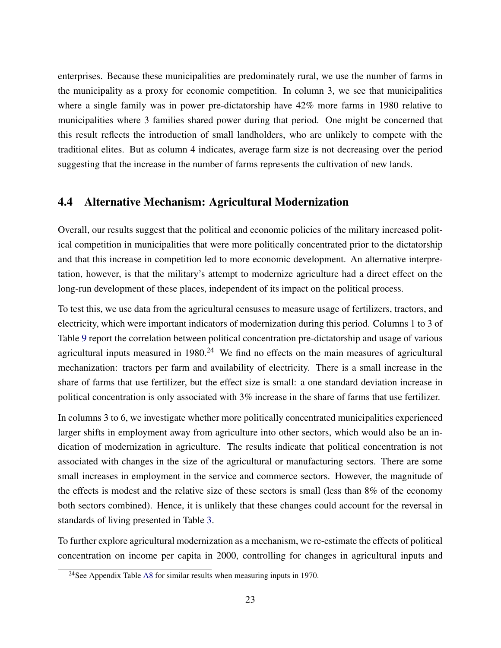enterprises. Because these municipalities are predominately rural, we use the number of farms in the municipality as a proxy for economic competition. In column 3, we see that municipalities where a single family was in power pre-dictatorship have  $42\%$  more farms in 1980 relative to municipalities where 3 families shared power during that period. One might be concerned that this result reflects the introduction of small landholders, who are unlikely to compete with the traditional elites. But as column 4 indicates, average farm size is not decreasing over the period suggesting that the increase in the number of farms represents the cultivation of new lands.

### 4.4 Alternative Mechanism: Agricultural Modernization

Overall, our results suggest that the political and economic policies of the military increased political competition in municipalities that were more politically concentrated prior to the dictatorship and that this increase in competition led to more economic development. An alternative interpretation, however, is that the military's attempt to modernize agriculture had a direct effect on the long-run development of these places, independent of its impact on the political process.

To test this, we use data from the agricultural censuses to measure usage of fertilizers, tractors, and electricity, which were important indicators of modernization during this period. Columns 1 to 3 of Table 9 report the correlation between political concentration pre-dictatorship and usage of various agricultural inputs measured in  $1980<sup>24</sup>$  We find no effects on the main measures of agricultural mechanization: tractors per farm and availability of electricity. There is a small increase in the share of farms that use fertilizer, but the effect size is small: a one standard deviation increase in political concentration is only associated with 3% increase in the share of farms that use fertilizer.

In columns 3 to 6, we investigate whether more politically concentrated municipalities experienced larger shifts in employment away from agriculture into other sectors, which would also be an indication of modernization in agriculture. The results indicate that political concentration is not associated with changes in the size of the agricultural or manufacturing sectors. There are some small increases in employment in the service and commerce sectors. However, the magnitude of the effects is modest and the relative size of these sectors is small (less than 8% of the economy both sectors combined). Hence, it is unlikely that these changes could account for the reversal in standards of living presented in Table 3.

To further explore agricultural modernization as a mechanism, we re-estimate the effects of political concentration on income per capita in 2000, controlling for changes in agricultural inputs and

<sup>24</sup>See Appendix Table A8 for similar results when measuring inputs in 1970.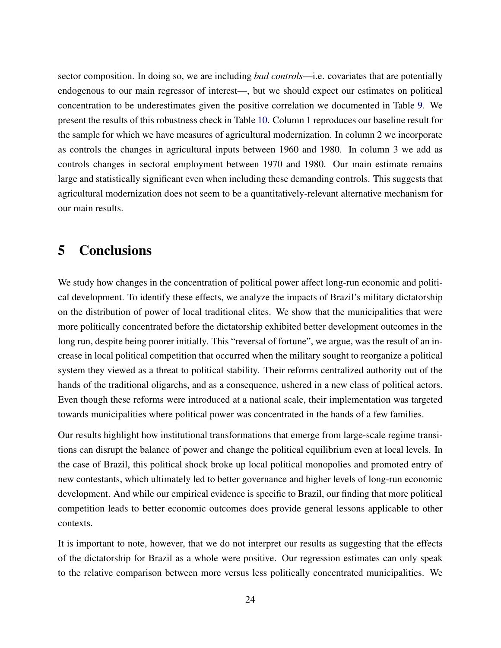sector composition. In doing so, we are including *bad controls*—i.e. covariates that are potentially endogenous to our main regressor of interest—, but we should expect our estimates on political concentration to be underestimates given the positive correlation we documented in Table 9. We present the results of this robustness check in Table 10. Column 1 reproduces our baseline result for the sample for which we have measures of agricultural modernization. In column 2 we incorporate as controls the changes in agricultural inputs between 1960 and 1980. In column 3 we add as controls changes in sectoral employment between 1970 and 1980. Our main estimate remains large and statistically significant even when including these demanding controls. This suggests that agricultural modernization does not seem to be a quantitatively-relevant alternative mechanism for our main results.

# 5 Conclusions

We study how changes in the concentration of political power affect long-run economic and political development. To identify these effects, we analyze the impacts of Brazil's military dictatorship on the distribution of power of local traditional elites. We show that the municipalities that were more politically concentrated before the dictatorship exhibited better development outcomes in the long run, despite being poorer initially. This "reversal of fortune", we argue, was the result of an increase in local political competition that occurred when the military sought to reorganize a political system they viewed as a threat to political stability. Their reforms centralized authority out of the hands of the traditional oligarchs, and as a consequence, ushered in a new class of political actors. Even though these reforms were introduced at a national scale, their implementation was targeted towards municipalities where political power was concentrated in the hands of a few families.

Our results highlight how institutional transformations that emerge from large-scale regime transitions can disrupt the balance of power and change the political equilibrium even at local levels. In the case of Brazil, this political shock broke up local political monopolies and promoted entry of new contestants, which ultimately led to better governance and higher levels of long-run economic development. And while our empirical evidence is specific to Brazil, our finding that more political competition leads to better economic outcomes does provide general lessons applicable to other contexts.

It is important to note, however, that we do not interpret our results as suggesting that the effects of the dictatorship for Brazil as a whole were positive. Our regression estimates can only speak to the relative comparison between more versus less politically concentrated municipalities. We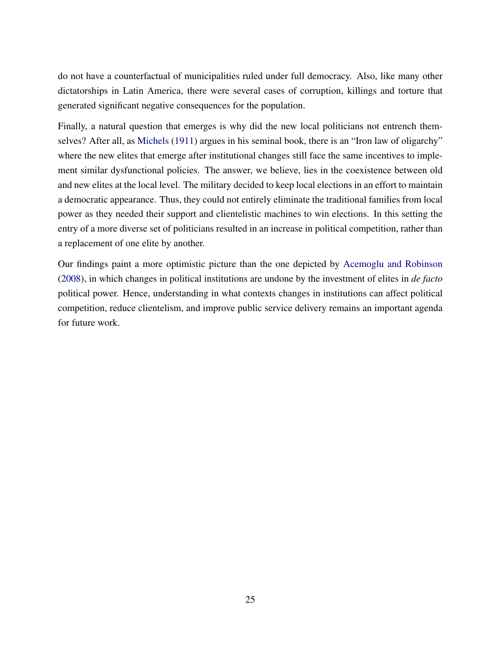do not have a counterfactual of municipalities ruled under full democracy. Also, like many other dictatorships in Latin America, there were several cases of corruption, killings and torture that generated significant negative consequences for the population.

Finally, a natural question that emerges is why did the new local politicians not entrench themselves? After all, as Michels (1911) argues in his seminal book, there is an "Iron law of oligarchy" where the new elites that emerge after institutional changes still face the same incentives to implement similar dysfunctional policies. The answer, we believe, lies in the coexistence between old and new elites at the local level. The military decided to keep local elections in an effort to maintain a democratic appearance. Thus, they could not entirely eliminate the traditional families from local power as they needed their support and clientelistic machines to win elections. In this setting the entry of a more diverse set of politicians resulted in an increase in political competition, rather than a replacement of one elite by another.

Our findings paint a more optimistic picture than the one depicted by Acemoglu and Robinson (2008), in which changes in political institutions are undone by the investment of elites in *de facto* political power. Hence, understanding in what contexts changes in institutions can affect political competition, reduce clientelism, and improve public service delivery remains an important agenda for future work.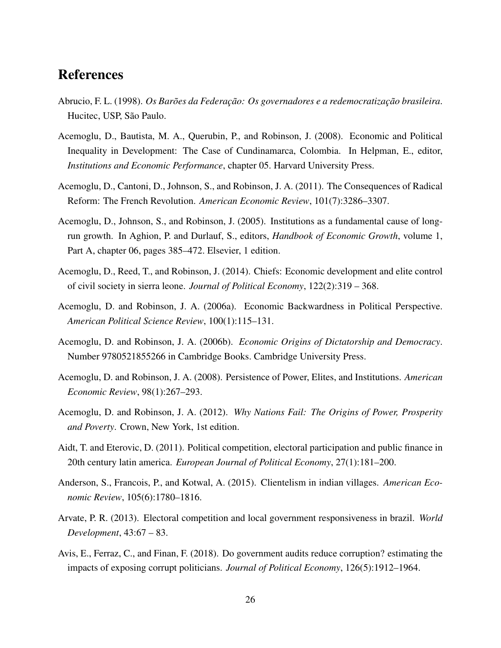# References

- Abrucio, F. L. (1998). *Os Barões da Federação: Os governadores e a redemocratização brasileira*. Hucitec, USP, São Paulo.
- Acemoglu, D., Bautista, M. A., Querubin, P., and Robinson, J. (2008). Economic and Political Inequality in Development: The Case of Cundinamarca, Colombia. In Helpman, E., editor, *Institutions and Economic Performance*, chapter 05. Harvard University Press.
- Acemoglu, D., Cantoni, D., Johnson, S., and Robinson, J. A. (2011). The Consequences of Radical Reform: The French Revolution. *American Economic Review*, 101(7):3286–3307.
- Acemoglu, D., Johnson, S., and Robinson, J. (2005). Institutions as a fundamental cause of longrun growth. In Aghion, P. and Durlauf, S., editors, *Handbook of Economic Growth*, volume 1, Part A, chapter 06, pages 385–472. Elsevier, 1 edition.
- Acemoglu, D., Reed, T., and Robinson, J. (2014). Chiefs: Economic development and elite control of civil society in sierra leone. *Journal of Political Economy*, 122(2):319 – 368.
- Acemoglu, D. and Robinson, J. A. (2006a). Economic Backwardness in Political Perspective. *American Political Science Review*, 100(1):115–131.
- Acemoglu, D. and Robinson, J. A. (2006b). *Economic Origins of Dictatorship and Democracy*. Number 9780521855266 in Cambridge Books. Cambridge University Press.
- Acemoglu, D. and Robinson, J. A. (2008). Persistence of Power, Elites, and Institutions. *American Economic Review*, 98(1):267–293.
- Acemoglu, D. and Robinson, J. A. (2012). *Why Nations Fail: The Origins of Power, Prosperity and Poverty*. Crown, New York, 1st edition.
- Aidt, T. and Eterovic, D. (2011). Political competition, electoral participation and public finance in 20th century latin america. *European Journal of Political Economy*, 27(1):181–200.
- Anderson, S., Francois, P., and Kotwal, A. (2015). Clientelism in indian villages. *American Economic Review*, 105(6):1780–1816.
- Arvate, P. R. (2013). Electoral competition and local government responsiveness in brazil. *World Development*, 43:67 – 83.
- Avis, E., Ferraz, C., and Finan, F. (2018). Do government audits reduce corruption? estimating the impacts of exposing corrupt politicians. *Journal of Political Economy*, 126(5):1912–1964.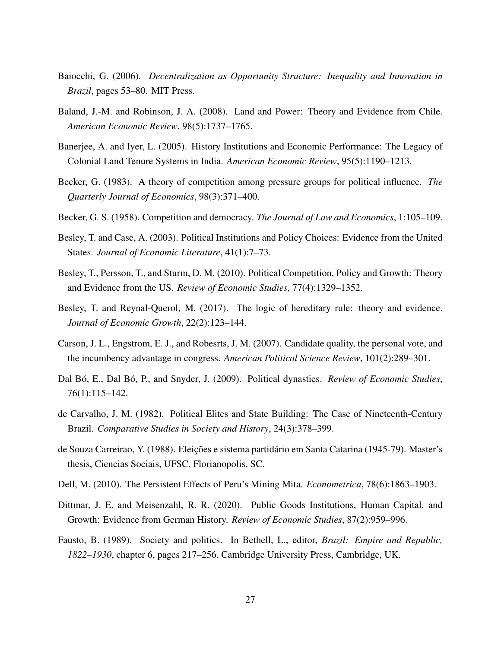- Baiocchi, G. (2006). *Decentralization as Opportunity Structure: Inequality and Innovation in Brazil*, pages 53–80. MIT Press.
- Baland, J.-M. and Robinson, J. A. (2008). Land and Power: Theory and Evidence from Chile. *American Economic Review*, 98(5):1737–1765.
- Banerjee, A. and Iyer, L. (2005). History Institutions and Economic Performance: The Legacy of Colonial Land Tenure Systems in India. *American Economic Review*, 95(5):1190–1213.
- Becker, G. (1983). A theory of competition among pressure groups for political influence. *The Quarterly Journal of Economics*, 98(3):371–400.
- Becker, G. S. (1958). Competition and democracy. *The Journal of Law and Economics*, 1:105–109.
- Besley, T. and Case, A. (2003). Political Institutions and Policy Choices: Evidence from the United States. *Journal of Economic Literature*, 41(1):7–73.
- Besley, T., Persson, T., and Sturm, D. M. (2010). Political Competition, Policy and Growth: Theory and Evidence from the US. *Review of Economic Studies*, 77(4):1329–1352.
- Besley, T. and Reynal-Querol, M. (2017). The logic of hereditary rule: theory and evidence. *Journal of Economic Growth*, 22(2):123–144.
- Carson, J. L., Engstrom, E. J., and Robesrts, J. M. (2007). Candidate quality, the personal vote, and the incumbency advantage in congress. *American Political Science Review*, 101(2):289–301.
- Dal Bó, E., Dal Bó, P., and Snyder, J. (2009). Political dynasties. *Review of Economic Studies*, 76(1):115–142.
- de Carvalho, J. M. (1982). Political Elites and State Building: The Case of Nineteenth-Century Brazil. *Comparative Studies in Society and History*, 24(3):378–399.
- de Souza Carreirao, Y. (1988). Eleições e sistema partidário em Santa Catarina (1945-79). Master's thesis, Ciencias Sociais, UFSC, Florianopolis, SC.
- Dell, M. (2010). The Persistent Effects of Peru's Mining Mita. *Econometrica*, 78(6):1863–1903.
- Dittmar, J. E. and Meisenzahl, R. R. (2020). Public Goods Institutions, Human Capital, and Growth: Evidence from German History. *Review of Economic Studies*, 87(2):959–996.
- Fausto, B. (1989). Society and politics. In Bethell, L., editor, *Brazil: Empire and Republic, 1822–1930*, chapter 6, pages 217–256. Cambridge University Press, Cambridge, UK.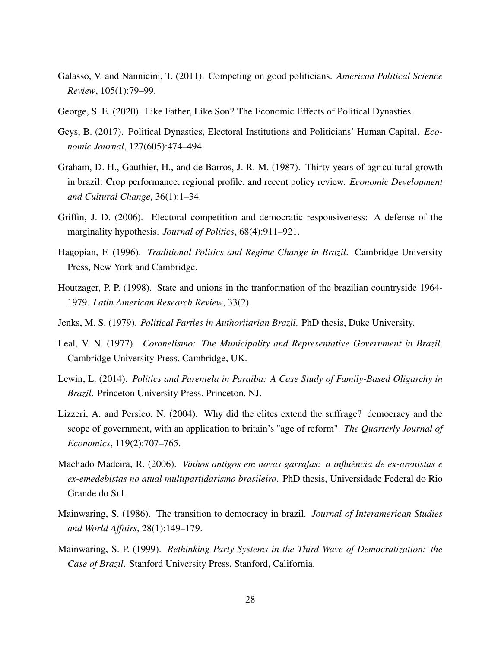- Galasso, V. and Nannicini, T. (2011). Competing on good politicians. *American Political Science Review*, 105(1):79–99.
- George, S. E. (2020). Like Father, Like Son? The Economic Effects of Political Dynasties.
- Geys, B. (2017). Political Dynasties, Electoral Institutions and Politicians' Human Capital. *Economic Journal*, 127(605):474–494.
- Graham, D. H., Gauthier, H., and de Barros, J. R. M. (1987). Thirty years of agricultural growth in brazil: Crop performance, regional profile, and recent policy review. *Economic Development and Cultural Change*, 36(1):1–34.
- Griffin, J. D. (2006). Electoral competition and democratic responsiveness: A defense of the marginality hypothesis. *Journal of Politics*, 68(4):911–921.
- Hagopian, F. (1996). *Traditional Politics and Regime Change in Brazil*. Cambridge University Press, New York and Cambridge.
- Houtzager, P. P. (1998). State and unions in the tranformation of the brazilian countryside 1964- 1979. *Latin American Research Review*, 33(2).
- Jenks, M. S. (1979). *Political Parties in Authoritarian Brazil*. PhD thesis, Duke University.
- Leal, V. N. (1977). *Coronelismo: The Municipality and Representative Government in Brazil*. Cambridge University Press, Cambridge, UK.
- Lewin, L. (2014). *Politics and Parentela in Paraiba: A Case Study of Family-Based Oligarchy in Brazil*. Princeton University Press, Princeton, NJ.
- Lizzeri, A. and Persico, N. (2004). Why did the elites extend the suffrage? democracy and the scope of government, with an application to britain's "age of reform". *The Quarterly Journal of Economics*, 119(2):707–765.
- Machado Madeira, R. (2006). *Vinhos antigos em novas garrafas: a influência de ex-arenistas e ex-emedebistas no atual multipartidarismo brasileiro*. PhD thesis, Universidade Federal do Rio Grande do Sul.
- Mainwaring, S. (1986). The transition to democracy in brazil. *Journal of Interamerican Studies and World Affairs*, 28(1):149–179.
- Mainwaring, S. P. (1999). *Rethinking Party Systems in the Third Wave of Democratization: the Case of Brazil*. Stanford University Press, Stanford, California.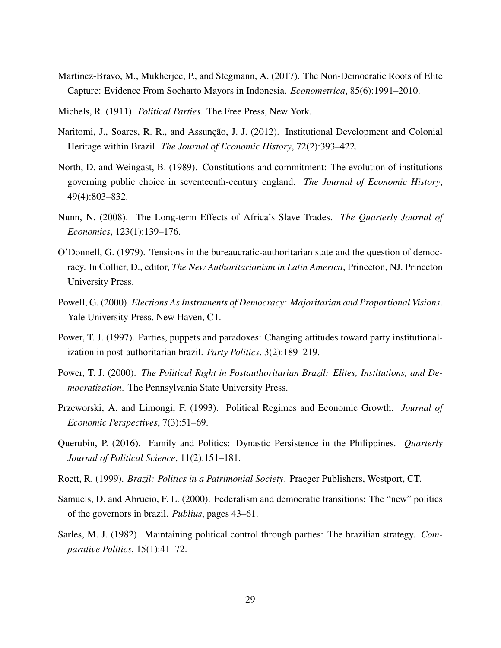- Martinez-Bravo, M., Mukherjee, P., and Stegmann, A. (2017). The Non-Democratic Roots of Elite Capture: Evidence From Soeharto Mayors in Indonesia. *Econometrica*, 85(6):1991–2010.
- Michels, R. (1911). *Political Parties*. The Free Press, New York.
- Naritomi, J., Soares, R. R., and Assunção, J. J. (2012). Institutional Development and Colonial Heritage within Brazil. *The Journal of Economic History*, 72(2):393–422.
- North, D. and Weingast, B. (1989). Constitutions and commitment: The evolution of institutions governing public choice in seventeenth-century england. *The Journal of Economic History*, 49(4):803–832.
- Nunn, N. (2008). The Long-term Effects of Africa's Slave Trades. *The Quarterly Journal of Economics*, 123(1):139–176.
- O'Donnell, G. (1979). Tensions in the bureaucratic-authoritarian state and the question of democracy. In Collier, D., editor, *The New Authoritarianism in Latin America*, Princeton, NJ. Princeton University Press.
- Powell, G. (2000). *Elections As Instruments of Democracy: Majoritarian and Proportional Visions*. Yale University Press, New Haven, CT.
- Power, T. J. (1997). Parties, puppets and paradoxes: Changing attitudes toward party institutionalization in post-authoritarian brazil. *Party Politics*, 3(2):189–219.
- Power, T. J. (2000). *The Political Right in Postauthoritarian Brazil: Elites, Institutions, and Democratization*. The Pennsylvania State University Press.
- Przeworski, A. and Limongi, F. (1993). Political Regimes and Economic Growth. *Journal of Economic Perspectives*, 7(3):51–69.
- Querubin, P. (2016). Family and Politics: Dynastic Persistence in the Philippines. *Quarterly Journal of Political Science*, 11(2):151–181.
- Roett, R. (1999). *Brazil: Politics in a Patrimonial Society*. Praeger Publishers, Westport, CT.
- Samuels, D. and Abrucio, F. L. (2000). Federalism and democratic transitions: The "new" politics of the governors in brazil. *Publius*, pages 43–61.
- Sarles, M. J. (1982). Maintaining political control through parties: The brazilian strategy. *Comparative Politics*, 15(1):41–72.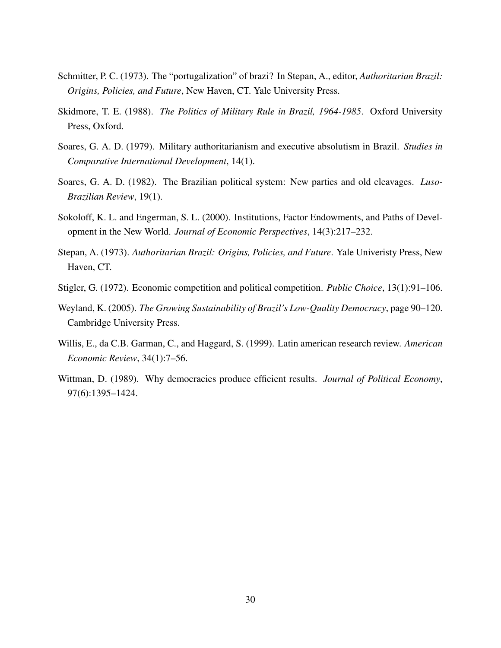- Schmitter, P. C. (1973). The "portugalization" of brazi? In Stepan, A., editor, *Authoritarian Brazil: Origins, Policies, and Future*, New Haven, CT. Yale University Press.
- Skidmore, T. E. (1988). *The Politics of Military Rule in Brazil, 1964-1985*. Oxford University Press, Oxford.
- Soares, G. A. D. (1979). Military authoritarianism and executive absolutism in Brazil. *Studies in Comparative International Development*, 14(1).
- Soares, G. A. D. (1982). The Brazilian political system: New parties and old cleavages. *Luso-Brazilian Review*, 19(1).
- Sokoloff, K. L. and Engerman, S. L. (2000). Institutions, Factor Endowments, and Paths of Development in the New World. *Journal of Economic Perspectives*, 14(3):217–232.
- Stepan, A. (1973). *Authoritarian Brazil: Origins, Policies, and Future*. Yale Univeristy Press, New Haven, CT.
- Stigler, G. (1972). Economic competition and political competition. *Public Choice*, 13(1):91–106.
- Weyland, K. (2005). *The Growing Sustainability of Brazil's Low-Quality Democracy*, page 90–120. Cambridge University Press.
- Willis, E., da C.B. Garman, C., and Haggard, S. (1999). Latin american research review. *American Economic Review*, 34(1):7–56.
- Wittman, D. (1989). Why democracies produce efficient results. *Journal of Political Economy*, 97(6):1395–1424.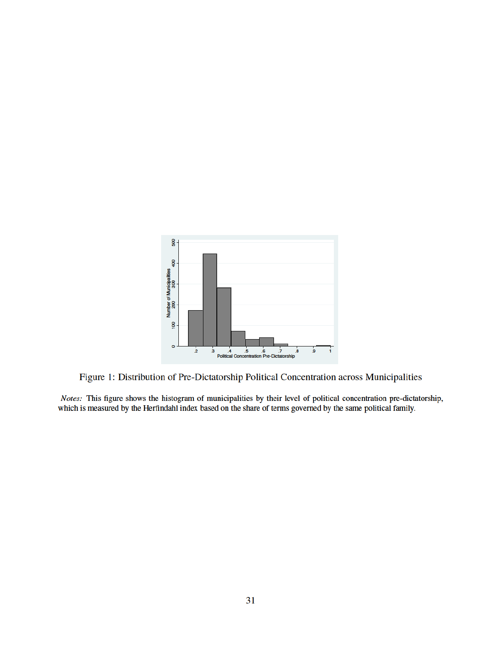

Figure 1: Distribution of Pre-Dictatorship Political Concentration across Municipalities

Notes: This figure shows the histogram of municipalities by their level of political concentration pre-dictatorship, which is measured by the Herfindahl index based on the share of terms governed by the same political family.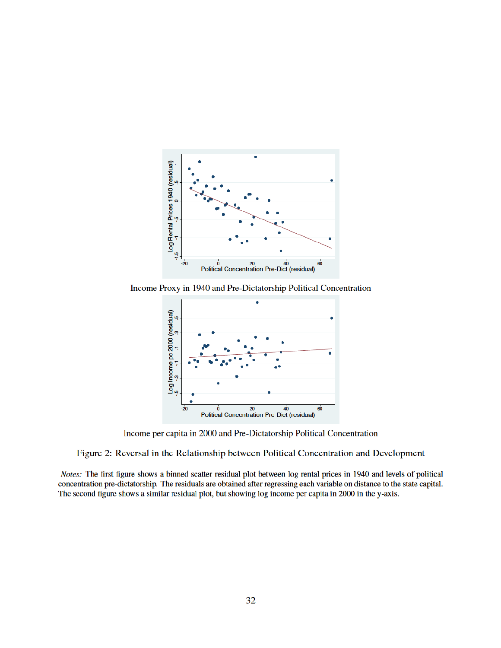

Income Proxy in 1940 and Pre-Dictatorship Political Concentration



Income per capita in 2000 and Pre-Dictatorship Political Concentration

Figure 2: Reversal in the Relationship between Political Concentration and Development

Notes: The first figure shows a binned scatter residual plot between log rental prices in 1940 and levels of political concentration pre-dictatorship. The residuals are obtained after regressing each variable on distance to the state capital. The second figure shows a similar residual plot, but showing log income per capita in 2000 in the y-axis.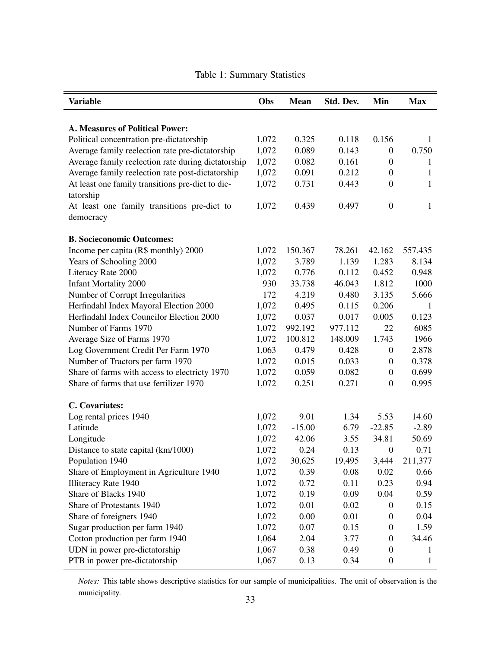| <b>Variable</b>                                               | Obs   | <b>Mean</b> | Std. Dev. | Min              | <b>Max</b>  |
|---------------------------------------------------------------|-------|-------------|-----------|------------------|-------------|
|                                                               |       |             |           |                  |             |
| A. Measures of Political Power:                               |       |             |           |                  |             |
| Political concentration pre-dictatorship                      | 1,072 | 0.325       | 0.118     | 0.156            | 1           |
| Average family reelection rate pre-dictatorship               | 1,072 | 0.089       | 0.143     | $\boldsymbol{0}$ | 0.750       |
| Average family reelection rate during dictatorship            | 1,072 | 0.082       | 0.161     | $\boldsymbol{0}$ | 1           |
| Average family reelection rate post-dictatorship              | 1,072 | 0.091       | 0.212     | $\overline{0}$   | $\mathbf 1$ |
| At least one family transitions pre-dict to dic-<br>tatorship | 1,072 | 0.731       | 0.443     | $\boldsymbol{0}$ | 1           |
| At least one family transitions pre-dict to                   | 1,072 | 0.439       | 0.497     | $\boldsymbol{0}$ | $\mathbf 1$ |
| democracy                                                     |       |             |           |                  |             |
| <b>B. Socieconomic Outcomes:</b>                              |       |             |           |                  |             |
| Income per capita (R\$ monthly) 2000                          | 1,072 | 150.367     | 78.261    | 42.162           | 557.435     |
| Years of Schooling 2000                                       | 1,072 | 3.789       | 1.139     | 1.283            | 8.134       |
| Literacy Rate 2000                                            | 1,072 | 0.776       | 0.112     | 0.452            | 0.948       |
| <b>Infant Mortality 2000</b>                                  | 930   | 33.738      | 46.043    | 1.812            | 1000        |
| Number of Corrupt Irregularities                              | 172   | 4.219       | 0.480     | 3.135            | 5.666       |
| Herfindahl Index Mayoral Election 2000                        | 1,072 | 0.495       | 0.115     | 0.206            | 1           |
| Herfindahl Index Councilor Election 2000                      | 1,072 | 0.037       | 0.017     | 0.005            | 0.123       |
| Number of Farms 1970                                          | 1,072 | 992.192     | 977.112   | 22               | 6085        |
| Average Size of Farms 1970                                    | 1,072 | 100.812     | 148.009   | 1.743            | 1966        |
| Log Government Credit Per Farm 1970                           | 1,063 | 0.479       | 0.428     | $\boldsymbol{0}$ | 2.878       |
| Number of Tractors per farm 1970                              | 1,072 | 0.015       | 0.033     | $\boldsymbol{0}$ | 0.378       |
| Share of farms with access to electricty 1970                 | 1,072 | 0.059       | 0.082     | $\boldsymbol{0}$ | 0.699       |
| Share of farms that use fertilizer 1970                       | 1,072 | 0.251       | 0.271     | $\boldsymbol{0}$ | 0.995       |
| C. Covariates:                                                |       |             |           |                  |             |
| Log rental prices 1940                                        | 1,072 | 9.01        | 1.34      | 5.53             | 14.60       |
| Latitude                                                      | 1,072 | $-15.00$    | 6.79      | $-22.85$         | $-2.89$     |
| Longitude                                                     | 1,072 | 42.06       | 3.55      | 34.81            | 50.69       |
| Distance to state capital (km/1000)                           | 1,072 | 0.24        | 0.13      | $\boldsymbol{0}$ | 0.71        |
| Population 1940                                               | 1,072 | 30,625      | 19,495    | 3,444            | 211,377     |
| Share of Employment in Agriculture 1940                       | 1,072 | 0.39        | 0.08      | 0.02             | 0.66        |
| <b>Illiteracy Rate 1940</b>                                   | 1,072 | 0.72        | 0.11      | 0.23             | 0.94        |
| Share of Blacks 1940                                          | 1,072 | 0.19        | 0.09      | 0.04             | 0.59        |
| Share of Protestants 1940                                     | 1,072 | 0.01        | 0.02      | 0                | 0.15        |
| Share of foreigners 1940                                      | 1,072 | 0.00        | 0.01      | 0                | 0.04        |
| Sugar production per farm 1940                                | 1,072 | 0.07        | 0.15      | 0                | 1.59        |
| Cotton production per farm 1940                               | 1,064 | 2.04        | 3.77      | $\boldsymbol{0}$ | 34.46       |
| UDN in power pre-dictatorship                                 | 1,067 | 0.38        | 0.49      | $\boldsymbol{0}$ | 1           |
| PTB in power pre-dictatorship                                 | 1,067 | 0.13        | 0.34      | $\boldsymbol{0}$ | $\mathbf 1$ |

# Table 1: Summary Statistics

*Notes:* This table shows descriptive statistics for our sample of municipalities. The unit of observation is the municipality.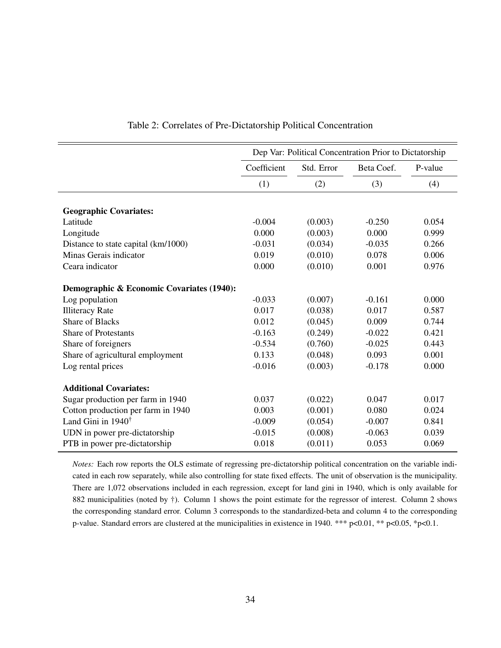| Dep Var: Political Concentration Prior to Dictatorship |                                                    |                                                                |                                           |  |
|--------------------------------------------------------|----------------------------------------------------|----------------------------------------------------------------|-------------------------------------------|--|
| Coefficient                                            | Std. Error                                         | Beta Coef.                                                     | P-value                                   |  |
| (1)                                                    | (2)                                                | (3)                                                            | (4)                                       |  |
|                                                        |                                                    |                                                                |                                           |  |
|                                                        |                                                    |                                                                |                                           |  |
|                                                        |                                                    |                                                                | 0.054                                     |  |
|                                                        |                                                    |                                                                | 0.999                                     |  |
|                                                        |                                                    |                                                                | 0.266                                     |  |
|                                                        |                                                    | 0.078                                                          | 0.006                                     |  |
| 0.000                                                  | (0.010)                                            | 0.001                                                          | 0.976                                     |  |
|                                                        |                                                    |                                                                |                                           |  |
| $-0.033$                                               | (0.007)                                            | $-0.161$                                                       | 0.000                                     |  |
| 0.017                                                  | (0.038)                                            | 0.017                                                          | 0.587                                     |  |
| 0.012                                                  | (0.045)                                            | 0.009                                                          | 0.744                                     |  |
| $-0.163$                                               | (0.249)                                            | $-0.022$                                                       | 0.421                                     |  |
| $-0.534$                                               | (0.760)                                            | $-0.025$                                                       | 0.443                                     |  |
| 0.133                                                  | (0.048)                                            | 0.093                                                          | 0.001                                     |  |
| $-0.016$                                               | (0.003)                                            | $-0.178$                                                       | 0.000                                     |  |
|                                                        |                                                    |                                                                |                                           |  |
| 0.037                                                  | (0.022)                                            | 0.047                                                          | 0.017                                     |  |
| 0.003                                                  |                                                    | 0.080                                                          | 0.024                                     |  |
| $-0.009$                                               | (0.054)                                            | $-0.007$                                                       | 0.841                                     |  |
|                                                        |                                                    |                                                                | 0.039                                     |  |
| 0.018                                                  | (0.011)                                            | 0.053                                                          | 0.069                                     |  |
|                                                        | $-0.004$<br>0.000<br>$-0.031$<br>0.019<br>$-0.015$ | (0.003)<br>(0.003)<br>(0.034)<br>(0.010)<br>(0.001)<br>(0.008) | $-0.250$<br>0.000<br>$-0.035$<br>$-0.063$ |  |

#### Table 2: Correlates of Pre-Dictatorship Political Concentration

*Notes:* Each row reports the OLS estimate of regressing pre-dictatorship political concentration on the variable indicated in each row separately, while also controlling for state fixed effects. The unit of observation is the municipality. There are 1,072 observations included in each regression, except for land gini in 1940, which is only available for 882 municipalities (noted by †). Column 1 shows the point estimate for the regressor of interest. Column 2 shows the corresponding standard error. Column 3 corresponds to the standardized-beta and column 4 to the corresponding p-value. Standard errors are clustered at the municipalities in existence in 1940. \*\*\* p<0.01, \*\* p<0.05, \*p<0.1.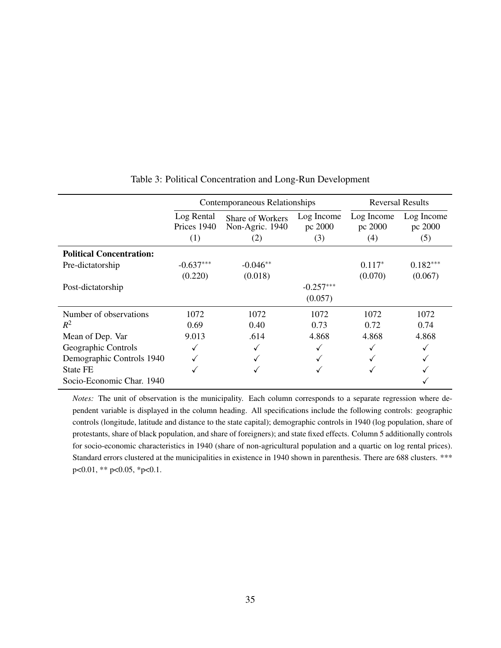|                                 |                           | Contemporaneous Relationships       | <b>Reversal Results</b> |                       |                       |
|---------------------------------|---------------------------|-------------------------------------|-------------------------|-----------------------|-----------------------|
|                                 | Log Rental<br>Prices 1940 | Share of Workers<br>Non-Agric. 1940 | Log Income<br>pc 2000   | Log Income<br>pc 2000 | Log Income<br>pc 2000 |
|                                 | (1)                       | (2)                                 | (3)                     | (4)                   | (5)                   |
| <b>Political Concentration:</b> |                           |                                     |                         |                       |                       |
| Pre-dictatorship                | $-0.637***$               | $-0.046**$                          |                         | $0.117*$              | $0.182***$            |
|                                 | (0.220)                   | (0.018)                             |                         | (0.070)               | (0.067)               |
| Post-dictatorship               |                           |                                     | $-0.257***$             |                       |                       |
|                                 |                           |                                     | (0.057)                 |                       |                       |
| Number of observations          | 1072                      | 1072                                | 1072                    | 1072                  | 1072                  |
| $R^2$                           | 0.69                      | 0.40                                | 0.73                    | 0.72                  | 0.74                  |
| Mean of Dep. Var                | 9.013                     | .614                                | 4.868                   | 4.868                 | 4.868                 |
| Geographic Controls             |                           |                                     |                         |                       |                       |
| Demographic Controls 1940       |                           |                                     |                         |                       |                       |
| State FE                        | √                         |                                     |                         |                       |                       |
| Socio-Economic Char. 1940       |                           |                                     |                         |                       |                       |

#### Table 3: Political Concentration and Long-Run Development

*Notes:* The unit of observation is the municipality. Each column corresponds to a separate regression where dependent variable is displayed in the column heading. All specifications include the following controls: geographic controls (longitude, latitude and distance to the state capital); demographic controls in 1940 (log population, share of protestants, share of black population, and share of foreigners); and state fixed effects. Column 5 additionally controls for socio-economic characteristics in 1940 (share of non-agricultural population and a quartic on log rental prices). Standard errors clustered at the municipalities in existence in 1940 shown in parenthesis. There are 688 clusters. \*\*\* p<0.01, \*\* p<0.05, \*p<0.1.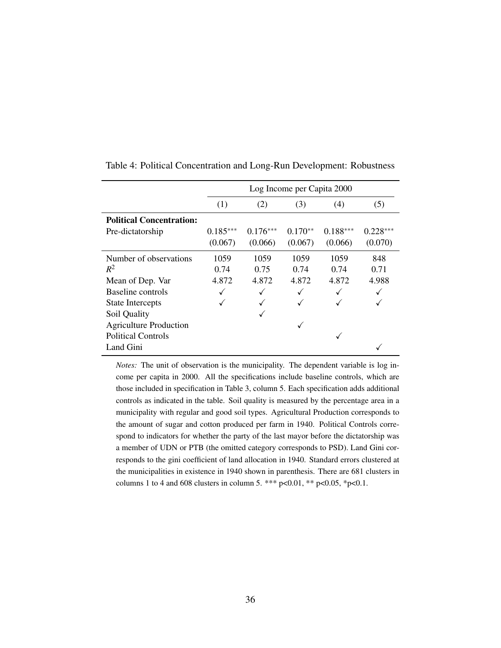|                                 | Log Income per Capita 2000 |            |           |            |            |  |
|---------------------------------|----------------------------|------------|-----------|------------|------------|--|
|                                 | (1)                        | (2)        | (3)       | (4)        | (5)        |  |
| <b>Political Concentration:</b> |                            |            |           |            |            |  |
| Pre-dictatorship                | $0.185***$                 | $0.176***$ | $0.170**$ | $0.188***$ | $0.228***$ |  |
|                                 | (0.067)                    | (0.066)    | (0.067)   | (0.066)    | (0.070)    |  |
| Number of observations          | 1059                       | 1059       | 1059      | 1059       | 848        |  |
| $R^2$                           | 0.74                       | 0.75       | 0.74      | 0.74       | 0.71       |  |
| Mean of Dep. Var                | 4.872                      | 4.872      | 4.872     | 4.872      | 4.988      |  |
| Baseline controls               |                            |            |           |            |            |  |
| <b>State Intercepts</b>         |                            |            |           |            |            |  |
| Soil Quality                    |                            |            |           |            |            |  |
| <b>Agriculture Production</b>   |                            |            |           |            |            |  |
| <b>Political Controls</b>       |                            |            |           |            |            |  |
| Land Gini                       |                            |            |           |            |            |  |

Table 4: Political Concentration and Long-Run Development: Robustness

*Notes:* The unit of observation is the municipality. The dependent variable is log income per capita in 2000. All the specifications include baseline controls, which are those included in specification in Table 3, column 5. Each specification adds additional controls as indicated in the table. Soil quality is measured by the percentage area in a municipality with regular and good soil types. Agricultural Production corresponds to the amount of sugar and cotton produced per farm in 1940. Political Controls correspond to indicators for whether the party of the last mayor before the dictatorship was a member of UDN or PTB (the omitted category corresponds to PSD). Land Gini corresponds to the gini coefficient of land allocation in 1940. Standard errors clustered at the municipalities in existence in 1940 shown in parenthesis. There are 681 clusters in columns 1 to 4 and 608 clusters in column 5. \*\*\* p<0.01, \*\* p<0.05, \*p<0.1.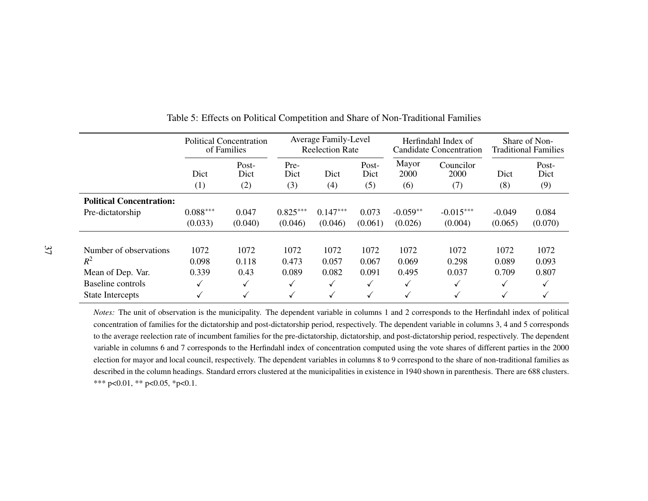|                                 | Political Concentration<br>of Families |                      |                     | <b>Average Family-Level</b><br><b>Reelection Rate</b> |                      | Herfindahl Index of<br><b>Candidate Concentration</b> |                          | Share of Non-<br><b>Traditional Families</b> |                      |
|---------------------------------|----------------------------------------|----------------------|---------------------|-------------------------------------------------------|----------------------|-------------------------------------------------------|--------------------------|----------------------------------------------|----------------------|
|                                 | Dict<br>(1)                            | Post-<br>Dict<br>(2) | Pre-<br>Dict<br>(3) | Dict<br>(4)                                           | Post-<br>Dict<br>(5) | Mayor<br>2000<br>(6)                                  | Councilor<br>2000<br>(7) | Dict<br>(8)                                  | Post-<br>Dict<br>(9) |
| <b>Political Concentration:</b> |                                        |                      |                     |                                                       |                      |                                                       |                          |                                              |                      |
| Pre-dictatorship                | $0.088***$                             | 0.047                | $0.825***$          | $0.147***$                                            | 0.073                | $-0.059**$                                            | $-0.015***$              | $-0.049$                                     | 0.084                |
|                                 | (0.033)                                | (0.040)              | (0.046)             | (0.046)                                               | (0.061)              | (0.026)                                               | (0.004)                  | (0.065)                                      | (0.070)              |
| Number of observations          | 1072                                   | 1072                 | 1072                | 1072                                                  | 1072                 | 1072                                                  | 1072                     | 1072                                         | 1072                 |
| $R^2$                           | 0.098                                  | 0.118                | 0.473               | 0.057                                                 | 0.067                | 0.069                                                 | 0.298                    | 0.089                                        | 0.093                |
| Mean of Dep. Var.               | 0.339                                  | 0.43                 | 0.089               | 0.082                                                 | 0.091                | 0.495                                                 | 0.037                    | 0.709                                        | 0.807                |
| <b>Baseline</b> controls        | √                                      | √                    | ✓                   | $\checkmark$                                          |                      | $\checkmark$                                          | √                        | √                                            |                      |
| <b>State Intercepts</b>         | v                                      | √                    | ✓                   | ✓                                                     | √                    | √                                                     | √                        | √                                            |                      |

Table 5: Effects on Political Competition and Share of Non-Traditional Families

*Notes:* The unit of observation is the municipality. The dependent variable in columns <sup>1</sup> and <sup>2</sup> corresponds to the Herfindahl index of political concentration of families for the dictatorship and post-dictatorship period, respectively. The dependent variable in columns 3, 4 and 5 correspondsto the average reelection rate of incumbent families for the pre-dictatorship, dictatorship, and post-dictatorship period, respectively. The dependentvariable in columns 6 and 7 corresponds to the Herfindahl index of concentration computed using the vote shares of different parties in the 2000 election for mayor and local council, respectively. The dependent variables in columns 8 to 9 correspond to the share of non-traditional families asdescribed in the column headings. Standard errors clustered at the municipalities in existence in 1940 shown in parenthesis. There are 688 clusters.\*\*\* p<0.01, \*\* p<0.05, \*p<0.1.

 $\overline{\phantom{a}}$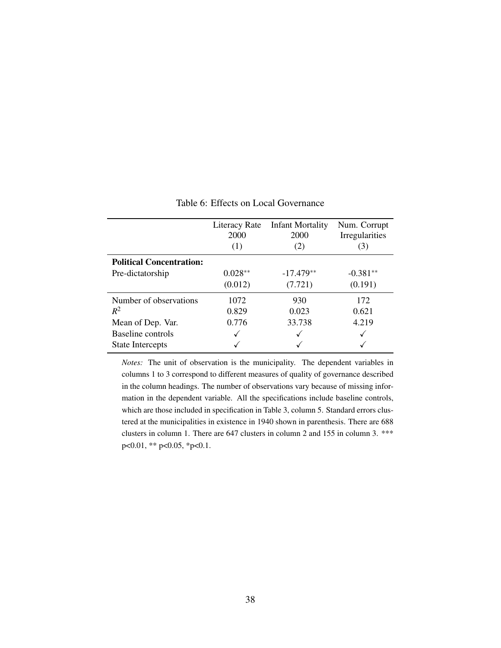|                                 | <b>Literacy Rate</b><br>2000<br>(1) | <b>Infant Mortality</b><br>2000<br>(2) | Num. Corrupt<br>Irregularities<br>(3) |
|---------------------------------|-------------------------------------|----------------------------------------|---------------------------------------|
| <b>Political Concentration:</b> |                                     |                                        |                                       |
| Pre-dictatorship                | $0.028**$                           | $-17.479**$                            | $-0.381**$                            |
|                                 | (0.012)                             | (7.721)                                | (0.191)                               |
| Number of observations          | 1072                                | 930                                    | 172                                   |
| $R^2$                           | 0.829                               | 0.023                                  | 0.621                                 |
| Mean of Dep. Var.               | 0.776                               | 33.738                                 | 4.219                                 |
| Baseline controls               | √                                   |                                        |                                       |
| <b>State Intercepts</b>         |                                     |                                        |                                       |

Table 6: Effects on Local Governance

*Notes:* The unit of observation is the municipality. The dependent variables in columns 1 to 3 correspond to different measures of quality of governance described in the column headings. The number of observations vary because of missing information in the dependent variable. All the specifications include baseline controls, which are those included in specification in Table 3, column 5. Standard errors clustered at the municipalities in existence in 1940 shown in parenthesis. There are 688 clusters in column 1. There are 647 clusters in column 2 and 155 in column 3. \*\*\* p<0.01, \*\* p<0.05, \*p<0.1.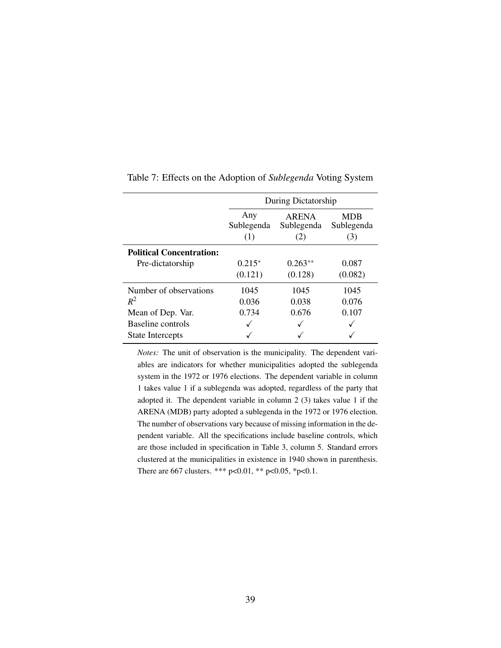|                                 | During Dictatorship      |                            |                                 |  |  |
|---------------------------------|--------------------------|----------------------------|---------------------------------|--|--|
|                                 | Any<br>Sublegenda<br>(1) | ARENA<br>Sublegenda<br>(2) | <b>MDB</b><br>Sublegenda<br>(3) |  |  |
| <b>Political Concentration:</b> |                          |                            |                                 |  |  |
| Pre-dictatorship                | $0.215*$                 | $0.263**$                  | 0.087                           |  |  |
|                                 | (0.121)                  | (0.128)                    | (0.082)                         |  |  |
| Number of observations          | 1045                     | 1045                       | 1045                            |  |  |
| $R^2$                           | 0.036                    | 0.038                      | 0.076                           |  |  |
| Mean of Dep. Var.               | 0.734                    | 0.676                      | 0.107                           |  |  |
| Baseline controls               |                          |                            |                                 |  |  |
| <b>State Intercepts</b>         |                          |                            |                                 |  |  |

Table 7: Effects on the Adoption of *Sublegenda* Voting System

*Notes:* The unit of observation is the municipality. The dependent variables are indicators for whether municipalities adopted the sublegenda system in the 1972 or 1976 elections. The dependent variable in column 1 takes value 1 if a sublegenda was adopted, regardless of the party that adopted it. The dependent variable in column 2 (3) takes value 1 if the ARENA (MDB) party adopted a sublegenda in the 1972 or 1976 election. The number of observations vary because of missing information in the dependent variable. All the specifications include baseline controls, which are those included in specification in Table 3, column 5. Standard errors clustered at the municipalities in existence in 1940 shown in parenthesis. There are 667 clusters. \*\*\* p<0.01, \*\* p<0.05, \*p<0.1.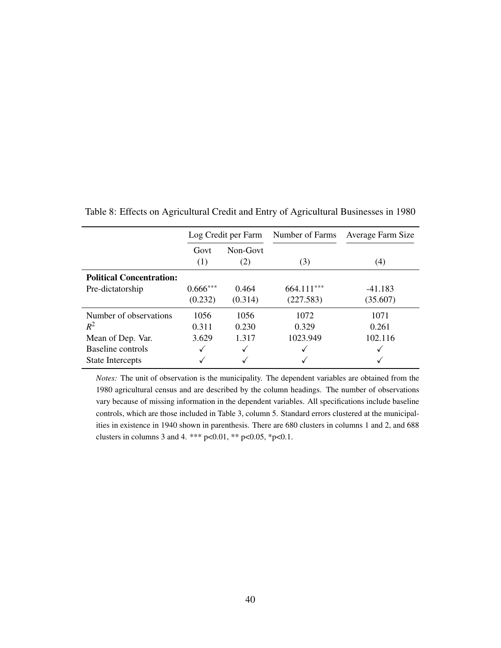|                                 |             | Log Credit per Farm | Number of Farms | Average Farm Size |
|---------------------------------|-------------|---------------------|-----------------|-------------------|
|                                 | Govt<br>(1) | Non-Govt<br>(2)     | (3)             | (4)               |
| <b>Political Concentration:</b> |             |                     |                 |                   |
| Pre-dictatorship                | $0.666***$  | 0.464               | $664.111***$    | -41.183           |
|                                 | (0.232)     | (0.314)             | (227.583)       | (35.607)          |
| Number of observations          | 1056        | 1056                | 1072            | 1071              |
| $R^2$                           | 0.311       | 0.230               | 0.329           | 0.261             |
| Mean of Dep. Var.               | 3.629       | 1.317               | 1023.949        | 102.116           |
| Baseline controls               |             | √                   |                 |                   |
| State Intercepts                |             |                     |                 |                   |

Table 8: Effects on Agricultural Credit and Entry of Agricultural Businesses in 1980

*Notes:* The unit of observation is the municipality. The dependent variables are obtained from the 1980 agricultural census and are described by the column headings. The number of observations vary because of missing information in the dependent variables. All specifications include baseline controls, which are those included in Table 3, column 5. Standard errors clustered at the municipalities in existence in 1940 shown in parenthesis. There are 680 clusters in columns 1 and 2, and 688 clusters in columns 3 and 4. \*\*\* p<0.01, \*\* p<0.05, \*p<0.1.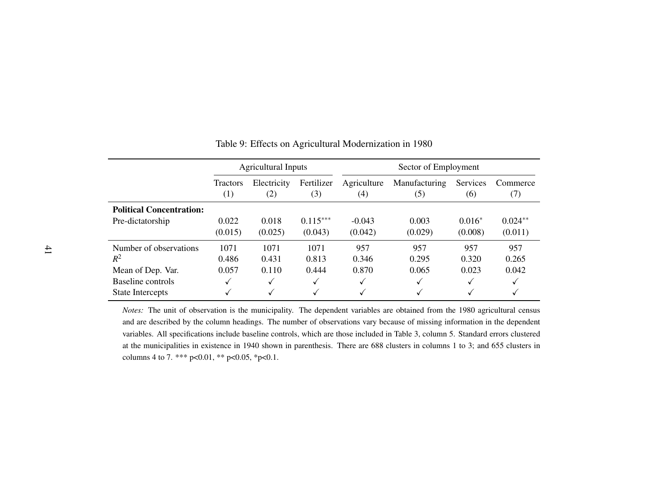|                                 | <b>Agricultural Inputs</b> |             |            | Sector of Employment |               |          |           |
|---------------------------------|----------------------------|-------------|------------|----------------------|---------------|----------|-----------|
|                                 | <b>Tractors</b>            | Electricity | Fertilizer | Agriculture          | Manufacturing | Services | Commerce  |
|                                 | (1)                        | (2)         | (3)        | $\left( 4\right)$    | (5)           | (6)      | (7)       |
| <b>Political Concentration:</b> |                            |             |            |                      |               |          |           |
| Pre-dictatorship                | 0.022                      | 0.018       | $0.115***$ | $-0.043$             | 0.003         | $0.016*$ | $0.024**$ |
|                                 | (0.015)                    | (0.025)     | (0.043)    | (0.042)              | (0.029)       | (0.008)  | (0.011)   |
| Number of observations          | 1071                       | 1071        | 1071       | 957                  | 957           | 957      | 957       |
| $R^2$                           | 0.486                      | 0.431       | 0.813      | 0.346                | 0.295         | 0.320    | 0.265     |
| Mean of Dep. Var.               | 0.057                      | 0.110       | 0.444      | 0.870                | 0.065         | 0.023    | 0.042     |
| Baseline controls               | ✓                          | ✓           |            | ✓                    | $\checkmark$  | ✓        |           |
| <b>State Intercepts</b>         |                            | ✓           |            | $\checkmark$         | √             | √        |           |

#### Table 9: Effects on Agricultural Modernization in 1980

*Notes:* The unit of observation is the municipality. The dependent variables are obtained from the <sup>1980</sup> agricultural censusand are described by the column headings. The number of observations vary because of missing information in the dependentvariables. All specifications include baseline controls, which are those included in Table 3, column 5. Standard errors clustered at the municipalities in existence in 1940 shown in parenthesis. There are 688 clusters in columns 1 to 3; and 655 clusters incolumns 4 to 7. \*\*\* p<0.01, \*\* p<0.05, \*p<0.1.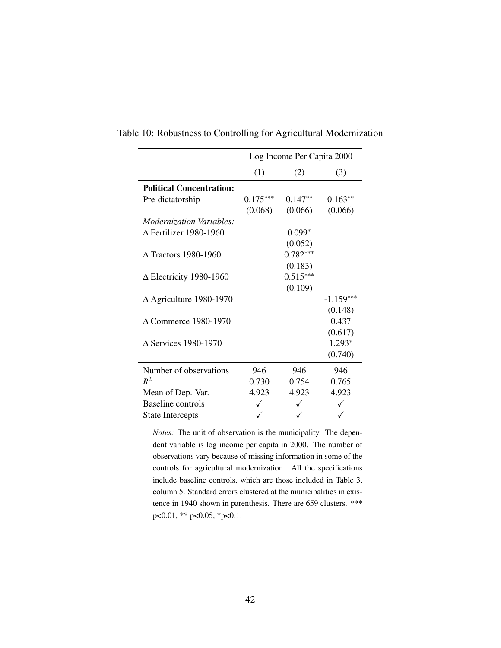|                                 |            | Log Income Per Capita 2000 |             |  |  |  |
|---------------------------------|------------|----------------------------|-------------|--|--|--|
|                                 | (1)        | (2)                        | (3)         |  |  |  |
| <b>Political Concentration:</b> |            |                            |             |  |  |  |
| Pre-dictatorship                | $0.175***$ | $0.147**$                  | $0.163**$   |  |  |  |
|                                 | (0.068)    | (0.066)                    | (0.066)     |  |  |  |
| <i>Modernization Variables:</i> |            |                            |             |  |  |  |
| $\Delta$ Fertilizer 1980-1960   |            | $0.099*$                   |             |  |  |  |
|                                 |            | (0.052)                    |             |  |  |  |
| $\Delta$ Tractors 1980-1960     |            | $0.782***$                 |             |  |  |  |
|                                 |            | (0.183)                    |             |  |  |  |
| $\Delta$ Electricity 1980-1960  |            | $0.515***$                 |             |  |  |  |
|                                 |            | (0.109)                    |             |  |  |  |
| $\Delta$ Agriculture 1980-1970  |            |                            | $-1.159***$ |  |  |  |
|                                 |            |                            | (0.148)     |  |  |  |
| $\Delta$ Commerce 1980-1970     |            |                            | 0.437       |  |  |  |
|                                 |            |                            | (0.617)     |  |  |  |
| $\Delta$ Services 1980-1970     |            |                            | 1.293*      |  |  |  |
|                                 |            |                            | (0.740)     |  |  |  |
| Number of observations          | 946        | 946                        | 946         |  |  |  |
| $R^2$                           | 0.730      | 0.754                      | 0.765       |  |  |  |
| Mean of Dep. Var.               | 4.923      | 4.923                      | 4.923       |  |  |  |
| Baseline controls               | ✓          |                            |             |  |  |  |
| <b>State Intercepts</b>         | ✓          |                            |             |  |  |  |

Table 10: Robustness to Controlling for Agricultural Modernization

*Notes:* The unit of observation is the municipality. The dependent variable is log income per capita in 2000. The number of observations vary because of missing information in some of the controls for agricultural modernization. All the specifications include baseline controls, which are those included in Table 3, column 5. Standard errors clustered at the municipalities in existence in 1940 shown in parenthesis. There are 659 clusters. \*\*\* p<0.01, \*\* p<0.05, \*p<0.1.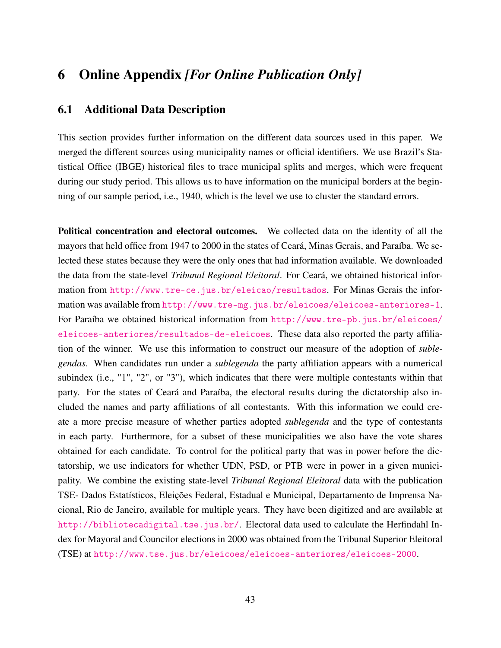# 6 Online Appendix *[For Online Publication Only]*

### 6.1 Additional Data Description

This section provides further information on the different data sources used in this paper. We merged the different sources using municipality names or official identifiers. We use Brazil's Statistical Office (IBGE) historical files to trace municipal splits and merges, which were frequent during our study period. This allows us to have information on the municipal borders at the beginning of our sample period, i.e., 1940, which is the level we use to cluster the standard errors.

Political concentration and electoral outcomes. We collected data on the identity of all the mayors that held office from 1947 to 2000 in the states of Ceará, Minas Gerais, and Paraíba. We selected these states because they were the only ones that had information available. We downloaded the data from the state-level *Tribunal Regional Eleitoral*. For Ceará, we obtained historical information from http://www.tre-ce.jus.br/eleicao/resultados. For Minas Gerais the information was available from http://www.tre-mg.jus.br/eleicoes/eleicoes-anteriores-1. For Paraíba we obtained historical information from http://www.tre-pb.jus.br/eleicoes/ eleicoes-anteriores/resultados-de-eleicoes. These data also reported the party affiliation of the winner. We use this information to construct our measure of the adoption of *sublegendas*. When candidates run under a *sublegenda* the party affiliation appears with a numerical subindex (i.e., "1", "2", or "3"), which indicates that there were multiple contestants within that party. For the states of Ceará and Paraíba, the electoral results during the dictatorship also included the names and party affiliations of all contestants. With this information we could create a more precise measure of whether parties adopted *sublegenda* and the type of contestants in each party. Furthermore, for a subset of these municipalities we also have the vote shares obtained for each candidate. To control for the political party that was in power before the dictatorship, we use indicators for whether UDN, PSD, or PTB were in power in a given municipality. We combine the existing state-level *Tribunal Regional Eleitoral* data with the publication TSE- Dados Estatísticos, Eleições Federal, Estadual e Municipal, Departamento de Imprensa Nacional, Rio de Janeiro, available for multiple years. They have been digitized and are available at http://bibliotecadigital.tse.jus.br/. Electoral data used to calculate the Herfindahl Index for Mayoral and Councilor elections in 2000 was obtained from the Tribunal Superior Eleitoral (TSE) at http://www.tse.jus.br/eleicoes/eleicoes-anteriores/eleicoes-2000.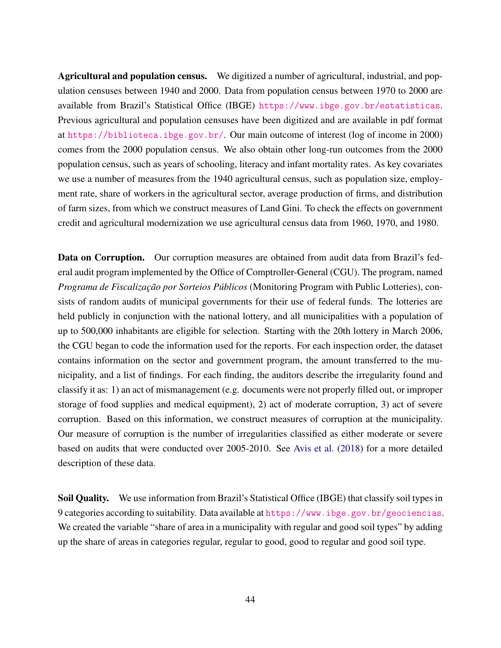Agricultural and population census. We digitized a number of agricultural, industrial, and population censuses between 1940 and 2000. Data from population census between 1970 to 2000 are available from Brazil's Statistical Office (IBGE) https://www.ibge.gov.br/estatisticas. Previous agricultural and population censuses have been digitized and are available in pdf format at https://biblioteca.ibge.gov.br/. Our main outcome of interest (log of income in 2000) comes from the 2000 population census. We also obtain other long-run outcomes from the 2000 population census, such as years of schooling, literacy and infant mortality rates. As key covariates we use a number of measures from the 1940 agricultural census, such as population size, employment rate, share of workers in the agricultural sector, average production of firms, and distribution of farm sizes, from which we construct measures of Land Gini. To check the effects on government credit and agricultural modernization we use agricultural census data from 1960, 1970, and 1980.

Data on Corruption. Our corruption measures are obtained from audit data from Brazil's federal audit program implemented by the Office of Comptroller-General (CGU). The program, named *Programa de Fiscalização por Sorteios Públicos* (Monitoring Program with Public Lotteries), consists of random audits of municipal governments for their use of federal funds. The lotteries are held publicly in conjunction with the national lottery, and all municipalities with a population of up to 500,000 inhabitants are eligible for selection. Starting with the 20th lottery in March 2006, the CGU began to code the information used for the reports. For each inspection order, the dataset contains information on the sector and government program, the amount transferred to the municipality, and a list of findings. For each finding, the auditors describe the irregularity found and classify it as: 1) an act of mismanagement (e.g. documents were not properly filled out, or improper storage of food supplies and medical equipment), 2) act of moderate corruption, 3) act of severe corruption. Based on this information, we construct measures of corruption at the municipality. Our measure of corruption is the number of irregularities classified as either moderate or severe based on audits that were conducted over 2005-2010. See Avis et al. (2018) for a more detailed description of these data.

Soil Quality. We use information from Brazil's Statistical Office (IBGE) that classify soil types in 9 categories according to suitability. Data available at https://www.ibge.gov.br/geociencias. We created the variable "share of area in a municipality with regular and good soil types" by adding up the share of areas in categories regular, regular to good, good to regular and good soil type.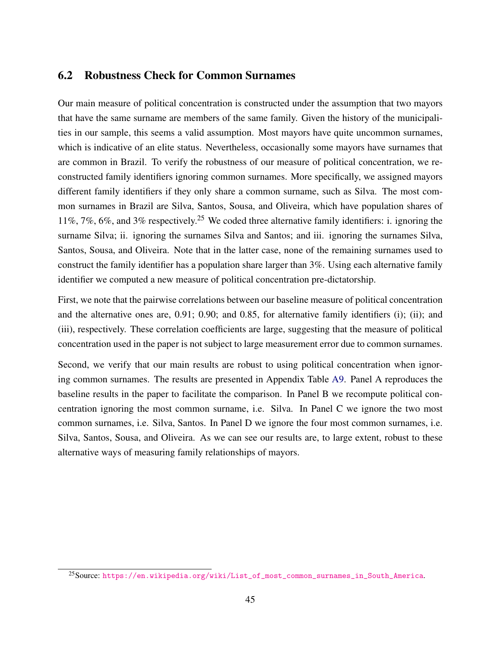### 6.2 Robustness Check for Common Surnames

Our main measure of political concentration is constructed under the assumption that two mayors that have the same surname are members of the same family. Given the history of the municipalities in our sample, this seems a valid assumption. Most mayors have quite uncommon surnames, which is indicative of an elite status. Nevertheless, occasionally some mayors have surnames that are common in Brazil. To verify the robustness of our measure of political concentration, we reconstructed family identifiers ignoring common surnames. More specifically, we assigned mayors different family identifiers if they only share a common surname, such as Silva. The most common surnames in Brazil are Silva, Santos, Sousa, and Oliveira, which have population shares of 11%, 7%, 6%, and 3% respectively.<sup>25</sup> We coded three alternative family identifiers: i. ignoring the surname Silva; ii. ignoring the surnames Silva and Santos; and iii. ignoring the surnames Silva, Santos, Sousa, and Oliveira. Note that in the latter case, none of the remaining surnames used to construct the family identifier has a population share larger than 3%. Using each alternative family identifier we computed a new measure of political concentration pre-dictatorship.

First, we note that the pairwise correlations between our baseline measure of political concentration and the alternative ones are, 0.91; 0.90; and 0.85, for alternative family identifiers (i); (ii); and (iii), respectively. These correlation coefficients are large, suggesting that the measure of political concentration used in the paper is not subject to large measurement error due to common surnames.

Second, we verify that our main results are robust to using political concentration when ignoring common surnames. The results are presented in Appendix Table A9. Panel A reproduces the baseline results in the paper to facilitate the comparison. In Panel B we recompute political concentration ignoring the most common surname, i.e. Silva. In Panel C we ignore the two most common surnames, i.e. Silva, Santos. In Panel D we ignore the four most common surnames, i.e. Silva, Santos, Sousa, and Oliveira. As we can see our results are, to large extent, robust to these alternative ways of measuring family relationships of mayors.

<sup>25</sup>Source: https://en.wikipedia.org/wiki/List\_of\_most\_common\_surnames\_in\_South\_America.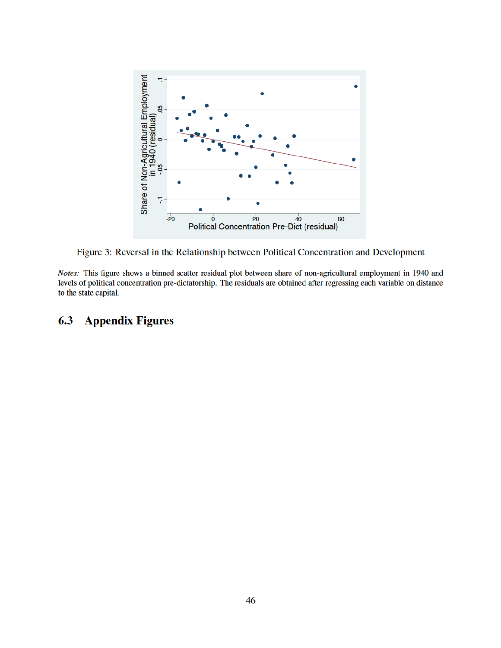

Figure 3: Reversal in the Relationship between Political Concentration and Development

Notes: This figure shows a binned scatter residual plot between share of non-agricultural employment in 1940 and levels of political concentration pre-dictatorship. The residuals are obtained after regressing each variable on distance to the state capital.

#### $6.3$ **Appendix Figures**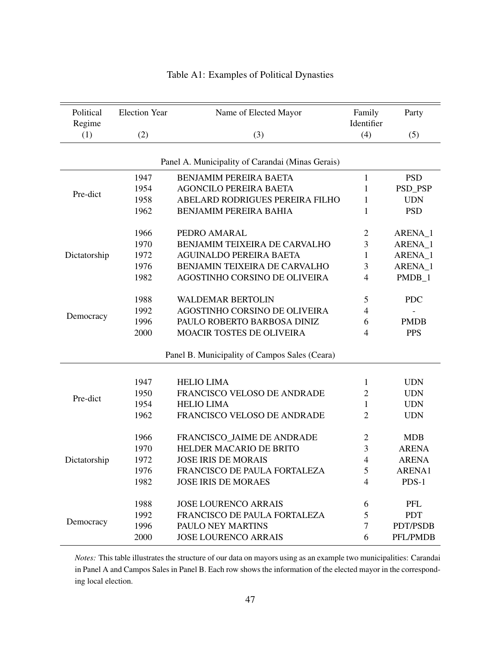| Political    | <b>Election Year</b> | Name of Elected Mayor                            | Family<br>Identifier | Party        |
|--------------|----------------------|--------------------------------------------------|----------------------|--------------|
| Regime       |                      |                                                  |                      |              |
| (1)          | (2)                  | (3)                                              | (4)                  | (5)          |
|              |                      |                                                  |                      |              |
|              |                      | Panel A. Municipality of Carandai (Minas Gerais) |                      |              |
|              | 1947                 | <b>BENJAMIM PEREIRA BAETA</b>                    | 1                    | <b>PSD</b>   |
| Pre-dict     | 1954                 | <b>AGONCILO PEREIRA BAETA</b>                    | $\mathbf{1}$         | PSD_PSP      |
|              | 1958                 | ABELARD RODRIGUES PEREIRA FILHO                  | 1                    | <b>UDN</b>   |
|              | 1962                 | BENJAMIM PEREIRA BAHIA                           | 1                    | <b>PSD</b>   |
|              | 1966                 | PEDRO AMARAL                                     | $\overline{c}$       | ARENA_1      |
|              | 1970                 | <b>BENJAMIM TEIXEIRA DE CARVALHO</b>             | 3                    | ARENA_1      |
| Dictatorship | 1972                 | <b>AGUINALDO PEREIRA BAETA</b>                   | 1                    | ARENA_1      |
|              | 1976                 | BENJAMIN TEIXEIRA DE CARVALHO                    | 3                    | ARENA 1      |
|              | 1982                 | AGOSTINHO CORSINO DE OLIVEIRA                    | $\overline{4}$       | PMDB_1       |
|              |                      |                                                  |                      |              |
|              | 1988                 | <b>WALDEMAR BERTOLIN</b>                         | 5                    | <b>PDC</b>   |
|              | 1992                 | <b>AGOSTINHO CORSINO DE OLIVEIRA</b>             | 4                    |              |
| Democracy    | 1996                 | PAULO ROBERTO BARBOSA DINIZ                      | 6                    | <b>PMDB</b>  |
|              | 2000                 | MOACIR TOSTES DE OLIVEIRA                        | 4                    | <b>PPS</b>   |
|              |                      |                                                  |                      |              |
|              |                      | Panel B. Municipality of Campos Sales (Ceara)    |                      |              |
|              |                      |                                                  |                      |              |
|              | 1947                 | <b>HELIO LIMA</b>                                | 1                    | <b>UDN</b>   |
| Pre-dict     | 1950                 | FRANCISCO VELOSO DE ANDRADE                      | $\overline{c}$       | <b>UDN</b>   |
|              | 1954                 | <b>HELIO LIMA</b>                                | 1                    | <b>UDN</b>   |
|              | 1962                 | FRANCISCO VELOSO DE ANDRADE                      | $\overline{c}$       | <b>UDN</b>   |
|              | 1966                 | FRANCISCO JAIME DE ANDRADE                       | $\overline{2}$       | <b>MDB</b>   |
|              | 1970                 | HELDER MACARIO DE BRITO                          | 3                    | <b>ARENA</b> |
| Dictatorship | 1972                 | <b>JOSE IRIS DE MORAIS</b>                       | $\overline{4}$       | <b>ARENA</b> |
|              | 1976                 | FRANCISCO DE PAULA FORTALEZA                     | 5                    | ARENA1       |
|              | 1982                 | <b>JOSE IRIS DE MORAES</b>                       | 4                    | $PDS-1$      |
|              |                      |                                                  |                      |              |
|              | 1988                 | <b>JOSE LOURENCO ARRAIS</b>                      | 6                    | PFL          |
|              | 1992                 | FRANCISCO DE PAULA FORTALEZA                     | 5                    | <b>PDT</b>   |
| Democracy    | 1996                 | PAULO NEY MARTINS                                | $\overline{7}$       | PDT/PSDB     |
|              | 2000                 | <b>JOSE LOURENCO ARRAIS</b>                      | 6                    | PFL/PMDB     |

### Table A1: Examples of Political Dynasties

*Notes:* This table illustrates the structure of our data on mayors using as an example two municipalities: Carandai in Panel A and Campos Sales in Panel B. Each row shows the information of the elected mayor in the corresponding local election.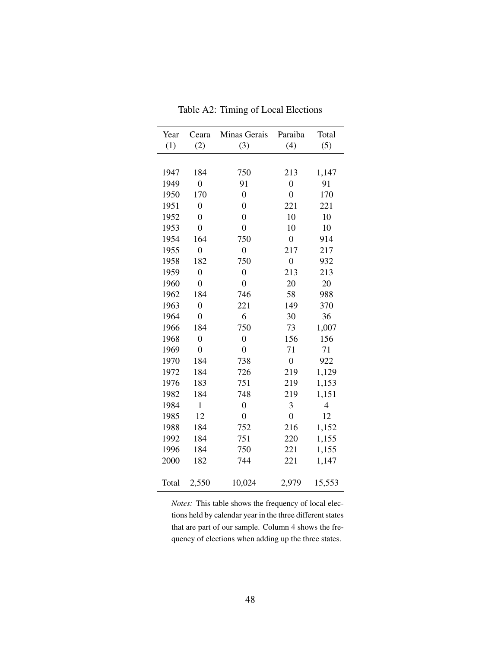| Year  | Ceara            | Minas Gerais     | Paraiba          | Total          |
|-------|------------------|------------------|------------------|----------------|
| (1)   | (2)              | (3)              | (4)              | (5)            |
|       |                  |                  |                  |                |
| 1947  | 184              | 750              | 213              | 1,147          |
| 1949  | $\boldsymbol{0}$ | 91               | $\boldsymbol{0}$ | 91             |
| 1950  | 170              | $\overline{0}$   | $\overline{0}$   | 170            |
| 1951  | $\boldsymbol{0}$ | $\overline{0}$   | 221              | 221            |
| 1952  | $\boldsymbol{0}$ | $\boldsymbol{0}$ | 10               | 10             |
| 1953  | $\overline{0}$   | $\overline{0}$   | 10               | 10             |
| 1954  | 164              | 750              | $\overline{0}$   | 914            |
| 1955  | $\boldsymbol{0}$ | $\boldsymbol{0}$ | 217              | 217            |
| 1958  | 182              | 750              | $\overline{0}$   | 932            |
| 1959  | $\boldsymbol{0}$ | $\boldsymbol{0}$ | 213              | 213            |
| 1960  | $\mathbf{0}$     | $\boldsymbol{0}$ | 20               | 20             |
| 1962  | 184              | 746              | 58               | 988            |
| 1963  | $\boldsymbol{0}$ | 221              | 149              | 370            |
| 1964  | $\boldsymbol{0}$ | 6                | 30               | 36             |
| 1966  | 184              | 750              | 73               | 1,007          |
| 1968  | $\boldsymbol{0}$ | $\overline{0}$   | 156              | 156            |
| 1969  | $\boldsymbol{0}$ | $\boldsymbol{0}$ | 71               | 71             |
| 1970  | 184              | 738              | $\boldsymbol{0}$ | 922            |
| 1972  | 184              | 726              | 219              | 1,129          |
| 1976  | 183              | 751              | 219              | 1,153          |
| 1982  | 184              | 748              | 219              | 1,151          |
| 1984  | $\mathbf{1}$     | $\boldsymbol{0}$ | 3                | $\overline{4}$ |
| 1985  | 12               | $\boldsymbol{0}$ | $\boldsymbol{0}$ | 12             |
| 1988  | 184              | 752              | 216              | 1,152          |
| 1992  | 184              | 751              | 220              | 1,155          |
| 1996  | 184              | 750              | 221              | 1,155          |
| 2000  | 182              | 744              | 221              | 1,147          |
|       |                  |                  |                  |                |
| Total | 2,550            | 10,024           | 2,979            | 15,553         |

Table A2: Timing of Local Elections

*Notes:* This table shows the frequency of local elections held by calendar year in the three different states that are part of our sample. Column 4 shows the frequency of elections when adding up the three states.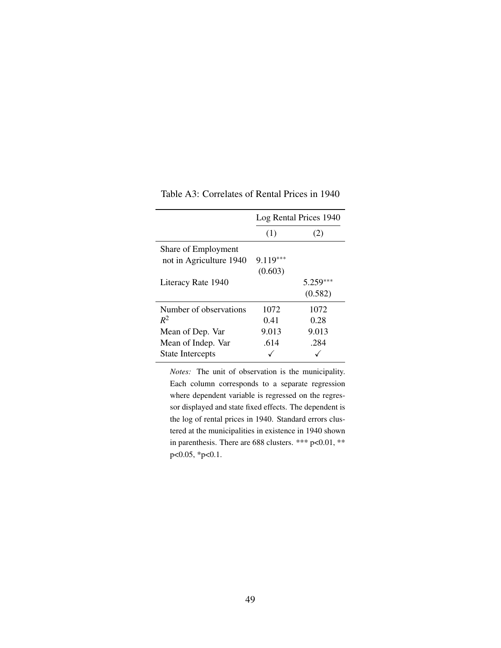|                         | Log Rental Prices 1940 |            |  |  |
|-------------------------|------------------------|------------|--|--|
|                         | (1)                    | (2)        |  |  |
| Share of Employment     |                        |            |  |  |
| not in Agriculture 1940 | $9.119***$             |            |  |  |
|                         | (0.603)                |            |  |  |
| Literacy Rate 1940      |                        | $5.259***$ |  |  |
|                         |                        | (0.582)    |  |  |
| Number of observations  | 1072                   | 1072       |  |  |
| $R^2$                   | 0.41                   | 0.28       |  |  |
| Mean of Dep. Var        | 9.013                  | 9.013      |  |  |
| Mean of Indep. Var      | .614                   | .284       |  |  |
| State Intercepts        |                        |            |  |  |

Table A3: Correlates of Rental Prices in 1940

*Notes:* The unit of observation is the municipality. Each column corresponds to a separate regression where dependent variable is regressed on the regressor displayed and state fixed effects. The dependent is the log of rental prices in 1940. Standard errors clustered at the municipalities in existence in 1940 shown in parenthesis. There are 688 clusters. \*\*\* p<0.01, \*\* p<0.05, \*p<0.1.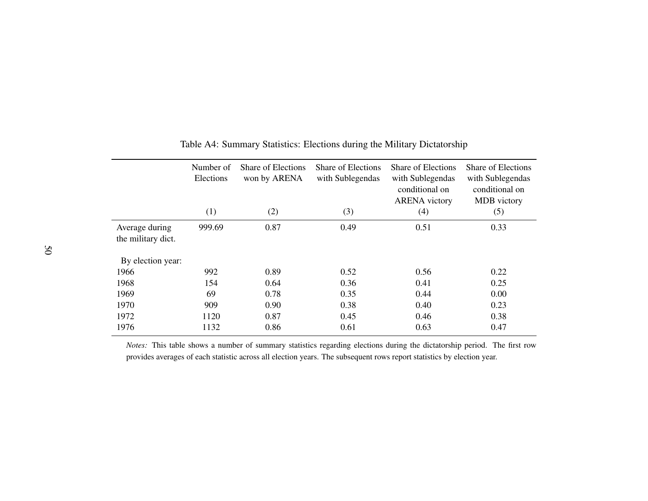|                                      | Number of<br>Elections | <b>Share of Elections</b><br>won by ARENA | <b>Share of Elections</b><br>with Sublegendas | Share of Elections<br>with Sublegendas<br>conditional on<br><b>ARENA</b> victory | Share of Elections<br>with Sublegendas<br>conditional on<br>MDB victory |
|--------------------------------------|------------------------|-------------------------------------------|-----------------------------------------------|----------------------------------------------------------------------------------|-------------------------------------------------------------------------|
|                                      | (1)                    | (2)                                       | (3)                                           | (4)                                                                              | (5)                                                                     |
| Average during<br>the military dict. | 999.69                 | 0.87                                      | 0.49                                          | 0.51                                                                             | 0.33                                                                    |
| By election year:                    |                        |                                           |                                               |                                                                                  |                                                                         |
| 1966                                 | 992                    | 0.89                                      | 0.52                                          | 0.56                                                                             | 0.22                                                                    |
| 1968                                 | 154                    | 0.64                                      | 0.36                                          | 0.41                                                                             | 0.25                                                                    |
| 1969                                 | 69                     | 0.78                                      | 0.35                                          | 0.44                                                                             | 0.00                                                                    |
| 1970                                 | 909                    | 0.90                                      | 0.38                                          | 0.40                                                                             | 0.23                                                                    |
| 1972                                 | 1120                   | 0.87                                      | 0.45                                          | 0.46                                                                             | 0.38                                                                    |
| 1976                                 | 1132                   | 0.86                                      | 0.61                                          | 0.63                                                                             | 0.47                                                                    |

#### Table A4: Summary Statistics: Elections during the Military Dictatorship

*Notes:* This table shows <sup>a</sup> number of summary statistics regarding elections during the dictatorship period. The first rowprovides averages of each statistic across all election years. The subsequent rows repor<sup>t</sup> statistics by election year.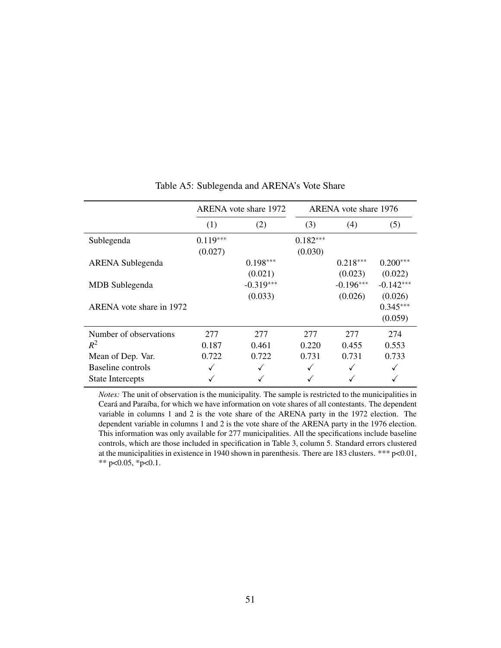|                          |                       | ARENA vote share 1972  | ARENA vote share 1976 |                        |                        |  |
|--------------------------|-----------------------|------------------------|-----------------------|------------------------|------------------------|--|
|                          | (1)                   | (2)                    | (3)                   | (4)                    | (5)                    |  |
| Sublegenda               | $0.119***$<br>(0.027) |                        | $0.182***$<br>(0.030) |                        |                        |  |
| <b>ARENA</b> Sublegenda  |                       | $0.198***$<br>(0.021)  |                       | $0.218***$<br>(0.023)  | $0.200***$<br>(0.022)  |  |
| MDB Sublegenda           |                       | $-0.319***$<br>(0.033) |                       | $-0.196***$<br>(0.026) | $-0.142***$<br>(0.026) |  |
| ARENA vote share in 1972 |                       |                        |                       |                        | $0.345***$<br>(0.059)  |  |
| Number of observations   | 277                   | 277                    | 277                   | 277                    | 274                    |  |
| $R^2$                    | 0.187                 | 0.461                  | 0.220                 | 0.455                  | 0.553                  |  |
| Mean of Dep. Var.        | 0.722                 | 0.722                  | 0.731                 | 0.731                  | 0.733                  |  |
| Baseline controls        |                       | ✓                      |                       |                        |                        |  |
| <b>State Intercepts</b>  |                       |                        |                       |                        |                        |  |

#### Table A5: Sublegenda and ARENA's Vote Share

*Notes:* The unit of observation is the municipality. The sample is restricted to the municipalities in Ceará and Paraíba, for which we have information on vote shares of all contestants. The dependent variable in columns 1 and 2 is the vote share of the ARENA party in the 1972 election. The dependent variable in columns 1 and 2 is the vote share of the ARENA party in the 1976 election. This information was only available for 277 municipalities. All the specifications include baseline controls, which are those included in specification in Table 3, column 5. Standard errors clustered at the municipalities in existence in 1940 shown in parenthesis. There are 183 clusters. \*\*\*  $p<0.01$ , \*\* p<0.05, \*p<0.1.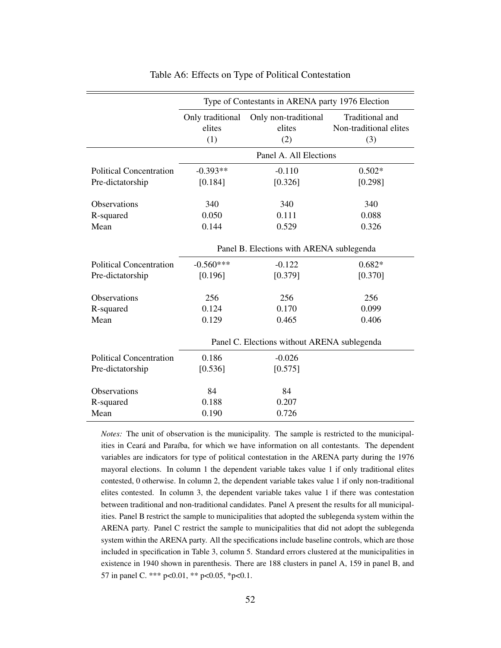|                                | Type of Contestants in ARENA party 1976 Election |                        |                        |  |  |  |  |
|--------------------------------|--------------------------------------------------|------------------------|------------------------|--|--|--|--|
|                                | Only traditional                                 | Only non-traditional   | Traditional and        |  |  |  |  |
|                                | elites                                           | elites                 | Non-traditional elites |  |  |  |  |
|                                | (1)                                              | (2)                    | (3)                    |  |  |  |  |
|                                |                                                  | Panel A. All Elections |                        |  |  |  |  |
| <b>Political Concentration</b> | $-0.393**$                                       | $-0.110$               | $0.502*$               |  |  |  |  |
| Pre-dictatorship               | [0.184]                                          | [0.326]                | [0.298]                |  |  |  |  |
| <b>Observations</b>            | 340                                              | 340                    | 340                    |  |  |  |  |
| R-squared                      | 0.050                                            | 0.111                  | 0.088                  |  |  |  |  |
| Mean                           | 0.144                                            | 0.529                  | 0.326                  |  |  |  |  |
|                                | Panel B. Elections with ARENA sublegenda         |                        |                        |  |  |  |  |
| <b>Political Concentration</b> | $-0.560***$                                      | $-0.122$               | $0.682*$               |  |  |  |  |
| Pre-dictatorship               | [0.196]                                          | [0.379]                | [0.370]                |  |  |  |  |
| <b>Observations</b>            | 256                                              | 256                    | 256                    |  |  |  |  |
| R-squared                      | 0.124                                            | 0.170                  | 0.099                  |  |  |  |  |
| Mean                           | 0.129                                            | 0.465                  | 0.406                  |  |  |  |  |
|                                | Panel C. Elections without ARENA sublegenda      |                        |                        |  |  |  |  |
| <b>Political Concentration</b> | 0.186                                            | $-0.026$               |                        |  |  |  |  |
| Pre-dictatorship               | [0.536]                                          | [0.575]                |                        |  |  |  |  |
| Observations                   | 84                                               | 84                     |                        |  |  |  |  |
| R-squared                      | 0.188                                            | 0.207                  |                        |  |  |  |  |
| Mean                           | 0.190                                            | 0.726                  |                        |  |  |  |  |

#### Table A6: Effects on Type of Political Contestation

*Notes:* The unit of observation is the municipality. The sample is restricted to the municipalities in Ceará and Paraíba, for which we have information on all contestants. The dependent variables are indicators for type of political contestation in the ARENA party during the 1976 mayoral elections. In column 1 the dependent variable takes value 1 if only traditional elites contested, 0 otherwise. In column 2, the dependent variable takes value 1 if only non-traditional elites contested. In column 3, the dependent variable takes value 1 if there was contestation between traditional and non-traditional candidates. Panel A present the results for all municipalities. Panel B restrict the sample to municipalities that adopted the sublegenda system within the ARENA party. Panel C restrict the sample to municipalities that did not adopt the sublegenda system within the ARENA party. All the specifications include baseline controls, which are those included in specification in Table 3, column 5. Standard errors clustered at the municipalities in existence in 1940 shown in parenthesis. There are 188 clusters in panel A, 159 in panel B, and 57 in panel C. \*\*\* p<0.01, \*\* p<0.05, \*p<0.1.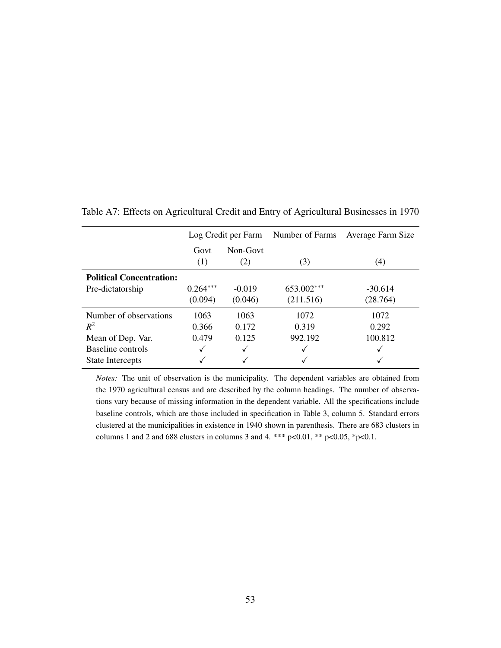|                                 | Log Credit per Farm |                 | Number of Farms | Average Farm Size |  |
|---------------------------------|---------------------|-----------------|-----------------|-------------------|--|
|                                 | Govt<br>(1)         | Non-Govt<br>(2) | (3)             | (4)               |  |
| <b>Political Concentration:</b> |                     |                 |                 |                   |  |
| Pre-dictatorship                | $0.264***$          | $-0.019$        | 653.002***      | $-30.614$         |  |
|                                 | (0.094)             | (0.046)         | (211.516)       | (28.764)          |  |
| Number of observations          | 1063                | 1063            | 1072            | 1072              |  |
| $R^2$                           | 0.366               | 0.172           | 0.319           | 0.292             |  |
| Mean of Dep. Var.               | 0.479               | 0.125           | 992.192         | 100.812           |  |
| Baseline controls               |                     |                 |                 |                   |  |
| <b>State Intercepts</b>         |                     |                 |                 |                   |  |

Table A7: Effects on Agricultural Credit and Entry of Agricultural Businesses in 1970

*Notes:* The unit of observation is the municipality. The dependent variables are obtained from the 1970 agricultural census and are described by the column headings. The number of observations vary because of missing information in the dependent variable. All the specifications include baseline controls, which are those included in specification in Table 3, column 5. Standard errors clustered at the municipalities in existence in 1940 shown in parenthesis. There are 683 clusters in columns 1 and 2 and 688 clusters in columns 3 and 4. \*\*\*  $p<0.01$ , \*\*  $p<0.05$ , \* $p<0.1$ .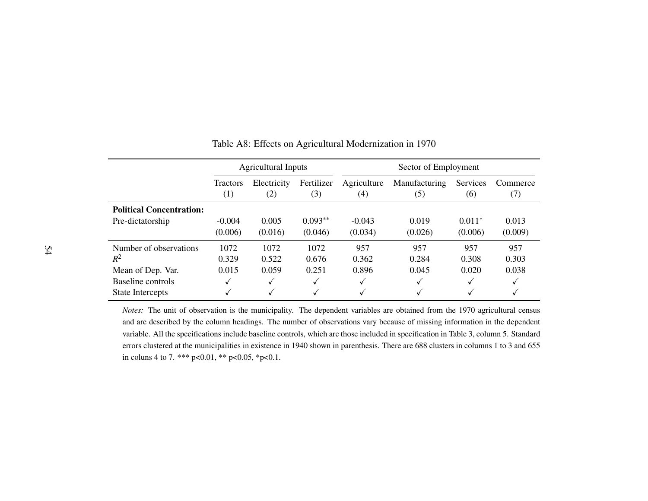|                                 | <b>Agricultural Inputs</b> |             | Sector of Employment |              |               |          |          |
|---------------------------------|----------------------------|-------------|----------------------|--------------|---------------|----------|----------|
|                                 | <b>Tractors</b>            | Electricity | Fertilizer           | Agriculture  | Manufacturing | Services | Commerce |
|                                 | (1)                        | (2)         | (3)                  | (4)          | (5)           | (6)      | (7)      |
| <b>Political Concentration:</b> |                            |             |                      |              |               |          |          |
| Pre-dictatorship                | $-0.004$                   | 0.005       | $0.093**$            | $-0.043$     | 0.019         | $0.011*$ | 0.013    |
|                                 | (0.006)                    | (0.016)     | (0.046)              | (0.034)      | (0.026)       | (0.006)  | (0.009)  |
| Number of observations          | 1072                       | 1072        | 1072                 | 957          | 957           | 957      | 957      |
| $R^2$                           | 0.329                      | 0.522       | 0.676                | 0.362        | 0.284         | 0.308    | 0.303    |
| Mean of Dep. Var.               | 0.015                      | 0.059       | 0.251                | 0.896        | 0.045         | 0.020    | 0.038    |
| Baseline controls               | ✓                          | ✓           | $\checkmark$         | $\checkmark$ | ✓             | √        |          |
| <b>State Intercepts</b>         | √                          | √           | $\checkmark$         | ✓            | ✓             | √        |          |

#### Table A8: Effects on Agricultural Modernization in 1970

*Notes:* The unit of observation is the municipality. The dependent variables are obtained from the <sup>1970</sup> agricultural censusand are described by the column headings. The number of observations vary because of missing information in the dependentvariable. All the specifications include baseline controls, which are those included in specification in Table 3, column 5. Standard errors clustered at the municipalities in existence in 1940 shown in parenthesis. There are 688 clusters in columns 1 to 3 and 655in coluns 4 to 7. \*\*\* p<0.01, \*\* p<0.05, \*p<0.1.